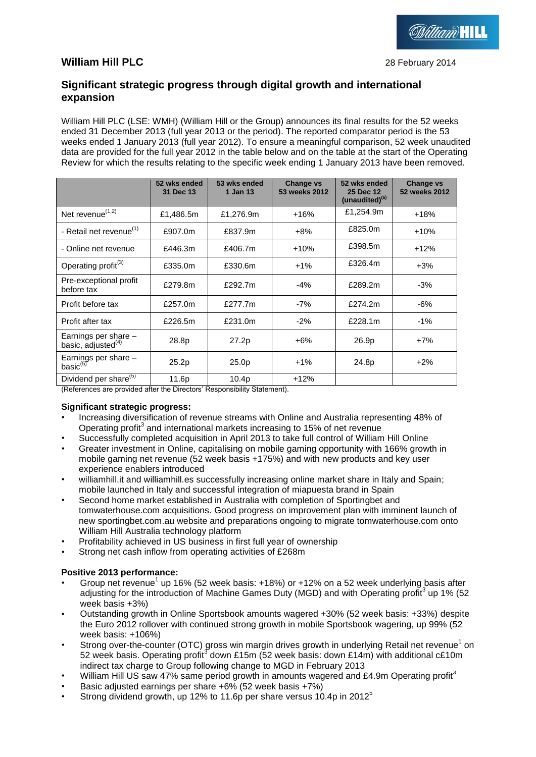# **William Hill PLC** 28 February 2014

# **Significant strategic progress through digital growth and international expansion**

William Hill PLC (LSE: WMH) (William Hill or the Group) announces its final results for the 52 weeks ended 31 December 2013 (full year 2013 or the period). The reported comparator period is the 53 weeks ended 1 January 2013 (full year 2012). To ensure a meaningful comparison, 52 week unaudited data are provided for the full year 2012 in the table below and on the table at the start of the Operating Review for which the results relating to the specific week ending 1 January 2013 have been removed.

|                                                        | 52 wks ended<br>31 Dec 13 | 53 wks ended<br>1 Jan 13 | <b>Change vs</b><br>53 weeks 2012 | 52 wks ended<br>25 Dec 12<br>(unaudited) <sup>(6)</sup> | <b>Change vs</b><br>52 weeks 2012 |
|--------------------------------------------------------|---------------------------|--------------------------|-----------------------------------|---------------------------------------------------------|-----------------------------------|
| Net revenue $(1,2)$                                    | £1,486.5m                 | £1,276.9m                | $+16%$                            | £1,254.9m                                               | $+18%$                            |
| - Retail net revenue <sup>(1)</sup>                    | £907.0m                   | £837.9m                  | $+8%$                             | £825.0m                                                 | $+10%$                            |
| - Online net revenue                                   | £446.3m                   | £406.7m                  | $+10%$                            | £398.5m                                                 | $+12%$                            |
| Operating profit <sup>(3)</sup>                        | £335.0m                   | £330.6m                  | $+1\%$                            | £326.4m                                                 | $+3\%$                            |
| Pre-exceptional profit<br>before tax                   | £279.8m                   | £292.7m                  | -4%                               | £289.2m                                                 | $-3%$                             |
| Profit before tax                                      | £257.0m                   | £277.7m                  | $-7%$                             | £274.2m                                                 | -6%                               |
| Profit after tax                                       | £226.5m                   | £231.0m                  | $-2%$                             | £228.1m                                                 | $-1\%$                            |
| Earnings per share -<br>basic, adjusted <sup>(4)</sup> | 28.8p                     | 27.2p                    | $+6\%$                            | 26.9p                                                   | $+7%$                             |
| Earnings per share $-$ basic <sup>(5)</sup>            | 25.2p                     | 25.0p                    | $+1\%$                            | 24.8p                                                   | $+2\%$                            |
| Dividend per share <sup>(5)</sup>                      | 11.6p                     | 10.4p                    | $+12%$                            |                                                         |                                   |

(References are provided after the Directors' Responsibility Statement).

# **Significant strategic progress:**

- Increasing diversification of revenue streams with Online and Australia representing 48% of Operating profit<sup>3</sup> and international markets increasing to 15% of net revenue
- Successfully completed acquisition in April 2013 to take full control of William Hill Online
- Greater investment in Online, capitalising on mobile gaming opportunity with 166% growth in mobile gaming net revenue (52 week basis +175%) and with new products and key user experience enablers introduced
- williamhill.it and williamhill.es successfully increasing online market share in Italy and Spain; mobile launched in Italy and successful integration of miapuesta brand in Spain
- Second home market established in Australia with completion of Sportingbet and tomwaterhouse.com acquisitions. Good progress on improvement plan with imminent launch of new sportingbet.com.au website and preparations ongoing to migrate tomwaterhouse.com onto William Hill Australia technology platform
- Profitability achieved in US business in first full year of ownership
- Strong net cash inflow from operating activities of £268m

# **Positive 2013 performance:**

- Group net revenue<sup>1</sup> up 16% (52 week basis: +18%) or +12% on a 52 week underlying basis after adjusting for the introduction of Machine Games Duty (MGD) and with Operating profit<sup>3</sup> up 1% (52 week basis +3%)
- Outstanding growth in Online Sportsbook amounts wagered +30% (52 week basis: +33%) despite the Euro 2012 rollover with continued strong growth in mobile Sportsbook wagering, up 99% (52 week basis: +106%)
- Strong over-the-counter (OTC) gross win margin drives growth in underlying Retail net revenue<sup>1</sup> on 52 week basis. Operating profit<sup>3</sup> down £15m (52 week basis: down £14m) with additional c£10m indirect tax charge to Group following change to MGD in February 2013
- William Hill US saw 47% same period growth in amounts wagered and £4.9m Operating profit<sup>3</sup>
- Basic adjusted earnings per share +6% (52 week basis +7%)
- Strong dividend growth, up 12% to 11.6p per share versus 10.4p in 2012<sup>5</sup>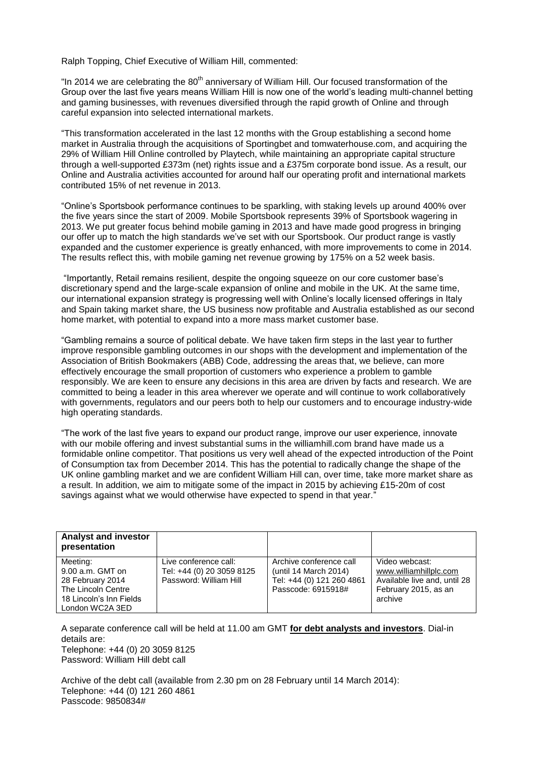Ralph Topping, Chief Executive of William Hill, commented:

"In 2014 we are celebrating the 80<sup>th</sup> anniversary of William Hill. Our focused transformation of the Group over the last five years means William Hill is now one of the world's leading multi-channel betting and gaming businesses, with revenues diversified through the rapid growth of Online and through careful expansion into selected international markets.

"This transformation accelerated in the last 12 months with the Group establishing a second home market in Australia through the acquisitions of Sportingbet and tomwaterhouse.com, and acquiring the 29% of William Hill Online controlled by Playtech, while maintaining an appropriate capital structure through a well-supported £373m (net) rights issue and a £375m corporate bond issue. As a result, our Online and Australia activities accounted for around half our operating profit and international markets contributed 15% of net revenue in 2013.

"Online's Sportsbook performance continues to be sparkling, with staking levels up around 400% over the five years since the start of 2009. Mobile Sportsbook represents 39% of Sportsbook wagering in 2013. We put greater focus behind mobile gaming in 2013 and have made good progress in bringing our offer up to match the high standards we've set with our Sportsbook. Our product range is vastly expanded and the customer experience is greatly enhanced, with more improvements to come in 2014. The results reflect this, with mobile gaming net revenue growing by 175% on a 52 week basis.

"Importantly, Retail remains resilient, despite the ongoing squeeze on our core customer base's discretionary spend and the large-scale expansion of online and mobile in the UK. At the same time, our international expansion strategy is progressing well with Online's locally licensed offerings in Italy and Spain taking market share, the US business now profitable and Australia established as our second home market, with potential to expand into a more mass market customer base.

"Gambling remains a source of political debate. We have taken firm steps in the last year to further improve responsible gambling outcomes in our shops with the development and implementation of the Association of British Bookmakers (ABB) Code, addressing the areas that, we believe, can more effectively encourage the small proportion of customers who experience a problem to gamble responsibly. We are keen to ensure any decisions in this area are driven by facts and research. We are committed to being a leader in this area wherever we operate and will continue to work collaboratively with governments, regulators and our peers both to help our customers and to encourage industry-wide high operating standards.

"The work of the last five years to expand our product range, improve our user experience, innovate with our mobile offering and invest substantial sums in the williamhill.com brand have made us a formidable online competitor. That positions us very well ahead of the expected introduction of the Point of Consumption tax from December 2014. This has the potential to radically change the shape of the UK online gambling market and we are confident William Hill can, over time, take more market share as a result. In addition, we aim to mitigate some of the impact in 2015 by achieving £15-20m of cost savings against what we would otherwise have expected to spend in that year."

| <b>Analyst and investor</b><br>presentation                                                                            |                                                                              |                                                                                                     |                                                                                                             |
|------------------------------------------------------------------------------------------------------------------------|------------------------------------------------------------------------------|-----------------------------------------------------------------------------------------------------|-------------------------------------------------------------------------------------------------------------|
| Meeting:<br>$9.00$ a.m. GMT on<br>28 February 2014<br>The Lincoln Centre<br>18 Lincoln's Inn Fields<br>London WC2A 3ED | Live conference call:<br>Tel: +44 (0) 20 3059 8125<br>Password: William Hill | Archive conference call<br>(until 14 March 2014)<br>Tel: +44 (0) 121 260 4861<br>Passcode: 6915918# | Video webcast:<br>www.williamhillplc.com<br>Available live and, until 28<br>February 2015, as an<br>archive |

A separate conference call will be held at 11.00 am GMT **for debt analysts and investors**. Dial-in details are: Telephone: +44 (0) 20 3059 8125

Password: William Hill debt call

Archive of the debt call (available from 2.30 pm on 28 February until 14 March 2014): Telephone: +44 (0) 121 260 4861 Passcode: 9850834#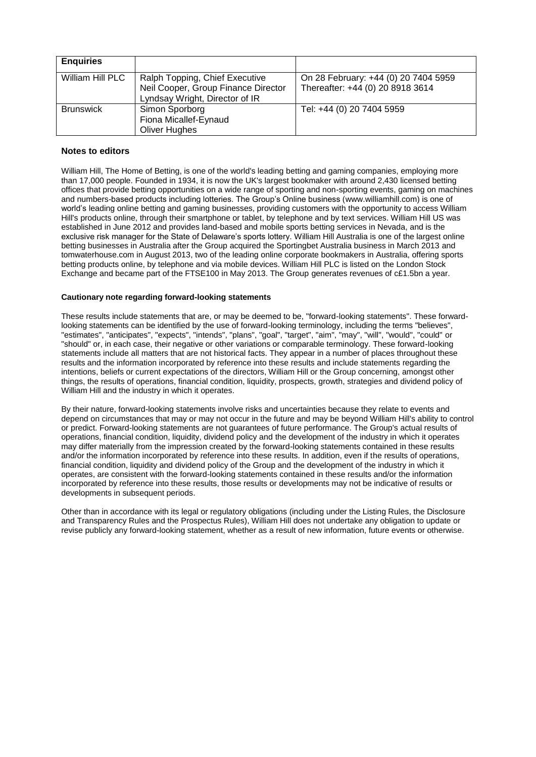| <b>Enquiries</b> |                                                                       |                                      |
|------------------|-----------------------------------------------------------------------|--------------------------------------|
| William Hill PLC | Ralph Topping, Chief Executive                                        | On 28 February: +44 (0) 20 7404 5959 |
|                  | Neil Cooper, Group Finance Director<br>Lyndsay Wright, Director of IR | Thereafter: +44 (0) 20 8918 3614     |
| <b>Brunswick</b> | Simon Sporborg                                                        | Tel: +44 (0) 20 7404 5959            |
|                  | Fiona Micallef-Eynaud                                                 |                                      |
|                  | Oliver Hughes                                                         |                                      |

### **Notes to editors**

William Hill, The Home of Betting, is one of the world's leading betting and gaming companies, employing more than 17,000 people. Founded in 1934, it is now the UK's largest bookmaker with around 2,430 licensed betting offices that provide betting opportunities on a wide range of sporting and non-sporting events, gaming on machines and numbers-based products including lotteries. The Group's Online business [\(www.williamhill.com\)](http://www.williamhill.com/) is one of world's leading online betting and gaming businesses, providing customers with the opportunity to access William Hill's products online, through their smartphone or tablet, by telephone and by text services. William Hill US was established in June 2012 and provides land-based and mobile sports betting services in Nevada, and is the exclusive risk manager for the State of Delaware's sports lottery. William Hill Australia is one of the largest online betting businesses in Australia after the Group acquired the Sportingbet Australia business in March 2013 and tomwaterhouse.com in August 2013, two of the leading online corporate bookmakers in Australia, offering sports betting products online, by telephone and via mobile devices. William Hill PLC is listed on the London Stock Exchange and became part of the FTSE100 in May 2013. The Group generates revenues of c£1.5bn a year.

### **Cautionary note regarding forward-looking statements**

These results include statements that are, or may be deemed to be, "forward-looking statements". These forwardlooking statements can be identified by the use of forward-looking terminology, including the terms "believes", "estimates", "anticipates", "expects", "intends", "plans", "goal", "target", "aim", "may", "will", "would", "could" or "should" or, in each case, their negative or other variations or comparable terminology. These forward-looking statements include all matters that are not historical facts. They appear in a number of places throughout these results and the information incorporated by reference into these results and include statements regarding the intentions, beliefs or current expectations of the directors, William Hill or the Group concerning, amongst other things, the results of operations, financial condition, liquidity, prospects, growth, strategies and dividend policy of William Hill and the industry in which it operates.

By their nature, forward-looking statements involve risks and uncertainties because they relate to events and depend on circumstances that may or may not occur in the future and may be beyond William Hill's ability to control or predict. Forward-looking statements are not guarantees of future performance. The Group's actual results of operations, financial condition, liquidity, dividend policy and the development of the industry in which it operates may differ materially from the impression created by the forward-looking statements contained in these results and/or the information incorporated by reference into these results. In addition, even if the results of operations, financial condition, liquidity and dividend policy of the Group and the development of the industry in which it operates, are consistent with the forward-looking statements contained in these results and/or the information incorporated by reference into these results, those results or developments may not be indicative of results or developments in subsequent periods.

Other than in accordance with its legal or regulatory obligations (including under the Listing Rules, the Disclosure and Transparency Rules and the Prospectus Rules), William Hill does not undertake any obligation to update or revise publicly any forward-looking statement, whether as a result of new information, future events or otherwise.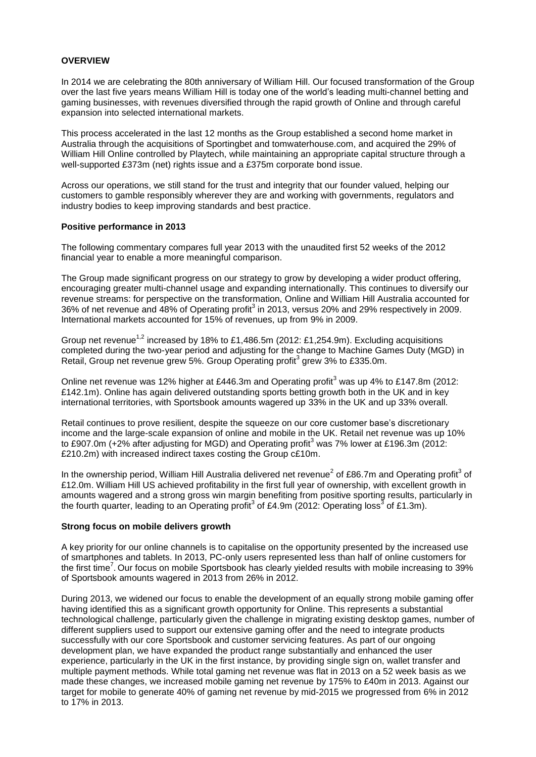### **OVERVIEW**

In 2014 we are celebrating the 80th anniversary of William Hill. Our focused transformation of the Group over the last five years means William Hill is today one of the world's leading multi-channel betting and gaming businesses, with revenues diversified through the rapid growth of Online and through careful expansion into selected international markets.

This process accelerated in the last 12 months as the Group established a second home market in Australia through the acquisitions of Sportingbet and tomwaterhouse.com, and acquired the 29% of William Hill Online controlled by Playtech, while maintaining an appropriate capital structure through a well-supported £373m (net) rights issue and a £375m corporate bond issue.

Across our operations, we still stand for the trust and integrity that our founder valued, helping our customers to gamble responsibly wherever they are and working with governments, regulators and industry bodies to keep improving standards and best practice.

### **Positive performance in 2013**

The following commentary compares full year 2013 with the unaudited first 52 weeks of the 2012 financial year to enable a more meaningful comparison.

The Group made significant progress on our strategy to grow by developing a wider product offering, encouraging greater multi-channel usage and expanding internationally. This continues to diversify our revenue streams: for perspective on the transformation, Online and William Hill Australia accounted for 36% of net revenue and 48% of Operating profit<sup>3</sup> in 2013, versus 20% and 29% respectively in 2009. International markets accounted for 15% of revenues, up from 9% in 2009.

Group net revenue<sup>1,2</sup> increased by 18% to £1,486.5m (2012: £1,254.9m). Excluding acquisitions completed during the two-year period and adjusting for the change to Machine Games Duty (MGD) in Retail, Group net revenue grew 5%. Group Operating profit<sup>3</sup> grew 3% to £335.0m.

Online net revenue was 12% higher at £446.3m and Operating profit<sup>3</sup> was up 4% to £147.8m (2012: £142.1m). Online has again delivered outstanding sports betting growth both in the UK and in key international territories, with Sportsbook amounts wagered up 33% in the UK and up 33% overall.

Retail continues to prove resilient, despite the squeeze on our core customer base's discretionary income and the large-scale expansion of online and mobile in the UK. Retail net revenue was up 10% to £907.0m (+2% after adjusting for MGD) and Operating profit<sup>3</sup> was 7% lower at £196.3m (2012: £210.2m) with increased indirect taxes costing the Group c£10m.

In the ownership period, William Hill Australia delivered net revenue<sup>2</sup> of £86.7m and Operating profit<sup>3</sup> of £12.0m. William Hill US achieved profitability in the first full year of ownership, with excellent growth in amounts wagered and a strong gross win margin benefiting from positive sporting results, particularly in the fourth quarter, leading to an Operating profit<sup>3</sup> of £4.9m (2012: Operating loss<sup>3</sup> of £1.3m).

### **Strong focus on mobile delivers growth**

A key priority for our online channels is to capitalise on the opportunity presented by the increased use of smartphones and tablets. In 2013, PC-only users represented less than half of online customers for the first time<sup>7</sup>. Our focus on mobile Sportsbook has clearly yielded results with mobile increasing to 39% of Sportsbook amounts wagered in 2013 from 26% in 2012.

During 2013, we widened our focus to enable the development of an equally strong mobile gaming offer having identified this as a significant growth opportunity for Online. This represents a substantial technological challenge, particularly given the challenge in migrating existing desktop games, number of different suppliers used to support our extensive gaming offer and the need to integrate products successfully with our core Sportsbook and customer servicing features. As part of our ongoing development plan, we have expanded the product range substantially and enhanced the user experience, particularly in the UK in the first instance, by providing single sign on, wallet transfer and multiple payment methods. While total gaming net revenue was flat in 2013 on a 52 week basis as we made these changes, we increased mobile gaming net revenue by 175% to £40m in 2013. Against our target for mobile to generate 40% of gaming net revenue by mid-2015 we progressed from 6% in 2012 to 17% in 2013.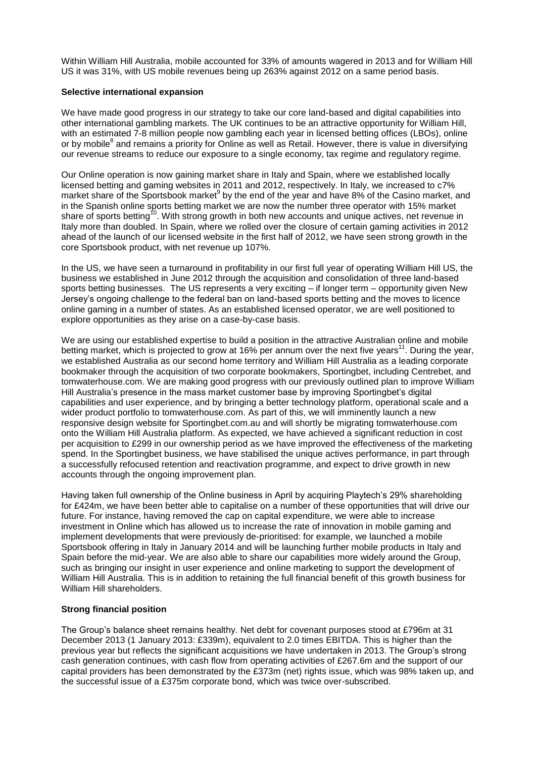Within William Hill Australia, mobile accounted for 33% of amounts wagered in 2013 and for William Hill US it was 31%, with US mobile revenues being up 263% against 2012 on a same period basis.

### **Selective international expansion**

We have made good progress in our strategy to take our core land-based and digital capabilities into other international gambling markets. The UK continues to be an attractive opportunity for William Hill, with an estimated 7-8 million people now gambling each year in licensed betting offices (LBOs), online or by mobile<sup>8</sup> and remains a priority for Online as well as Retail. However, there is value in diversifying our revenue streams to reduce our exposure to a single economy, tax regime and regulatory regime.

Our Online operation is now gaining market share in Italy and Spain, where we established locally licensed betting and gaming websites in 2011 and 2012, respectively. In Italy, we increased to c7% market share of the Sportsbook market<sup>9</sup> by the end of the year and have 8% of the Casino market, and in the Spanish online sports betting market we are now the number three operator with 15% market share of sports betting<sup>10</sup>. With strong growth in both new accounts and unique actives, net revenue in Italy more than doubled. In Spain, where we rolled over the closure of certain gaming activities in 2012 ahead of the launch of our licensed website in the first half of 2012, we have seen strong growth in the core Sportsbook product, with net revenue up 107%.

In the US, we have seen a turnaround in profitability in our first full year of operating William Hill US, the business we established in June 2012 through the acquisition and consolidation of three land-based sports betting businesses. The US represents a very exciting – if longer term – opportunity given New Jersey's ongoing challenge to the federal ban on land-based sports betting and the moves to licence online gaming in a number of states. As an established licensed operator, we are well positioned to explore opportunities as they arise on a case-by-case basis.

We are using our established expertise to build a position in the attractive Australian online and mobile betting market, which is projected to grow at 16% per annum over the next five years<sup>11</sup>. During the year, we established Australia as our second home territory and William Hill Australia as a leading corporate bookmaker through the acquisition of two corporate bookmakers, Sportingbet, including Centrebet, and tomwaterhouse.com. We are making good progress with our previously outlined plan to improve William Hill Australia's presence in the mass market customer base by improving Sportingbet's digital capabilities and user experience, and by bringing a better technology platform, operational scale and a wider product portfolio to tomwaterhouse.com. As part of this, we will imminently launch a new responsive design website for Sportingbet.com.au and will shortly be migrating tomwaterhouse.com onto the William Hill Australia platform. As expected, we have achieved a significant reduction in cost per acquisition to £299 in our ownership period as we have improved the effectiveness of the marketing spend. In the Sportingbet business, we have stabilised the unique actives performance, in part through a successfully refocused retention and reactivation programme, and expect to drive growth in new accounts through the ongoing improvement plan.

Having taken full ownership of the Online business in April by acquiring Playtech's 29% shareholding for £424m, we have been better able to capitalise on a number of these opportunities that will drive our future. For instance, having removed the cap on capital expenditure, we were able to increase investment in Online which has allowed us to increase the rate of innovation in mobile gaming and implement developments that were previously de-prioritised: for example, we launched a mobile Sportsbook offering in Italy in January 2014 and will be launching further mobile products in Italy and Spain before the mid-year. We are also able to share our capabilities more widely around the Group, such as bringing our insight in user experience and online marketing to support the development of William Hill Australia. This is in addition to retaining the full financial benefit of this growth business for William Hill shareholders.

### **Strong financial position**

The Group's balance sheet remains healthy. Net debt for covenant purposes stood at £796m at 31 December 2013 (1 January 2013: £339m), equivalent to 2.0 times EBITDA. This is higher than the previous year but reflects the significant acquisitions we have undertaken in 2013. The Group's strong cash generation continues, with cash flow from operating activities of £267.6m and the support of our capital providers has been demonstrated by the £373m (net) rights issue, which was 98% taken up, and the successful issue of a £375m corporate bond, which was twice over-subscribed.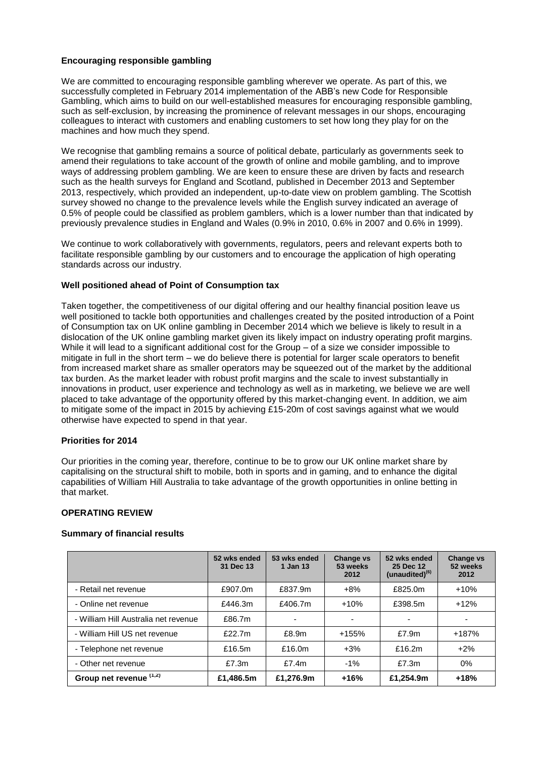# **Encouraging responsible gambling**

We are committed to encouraging responsible gambling wherever we operate. As part of this, we successfully completed in February 2014 implementation of the ABB's new Code for Responsible Gambling, which aims to build on our well-established measures for encouraging responsible gambling, such as self-exclusion, by increasing the prominence of relevant messages in our shops, encouraging colleagues to interact with customers and enabling customers to set how long they play for on the machines and how much they spend.

We recognise that gambling remains a source of political debate, particularly as governments seek to amend their regulations to take account of the growth of online and mobile gambling, and to improve ways of addressing problem gambling. We are keen to ensure these are driven by facts and research such as the health surveys for England and Scotland, published in December 2013 and September 2013, respectively, which provided an independent, up-to-date view on problem gambling. The Scottish survey showed no change to the prevalence levels while the English survey indicated an average of 0.5% of people could be classified as problem gamblers, which is a lower number than that indicated by previously prevalence studies in England and Wales (0.9% in 2010, 0.6% in 2007 and 0.6% in 1999).

We continue to work collaboratively with governments, regulators, peers and relevant experts both to facilitate responsible gambling by our customers and to encourage the application of high operating standards across our industry.

#### **Well positioned ahead of Point of Consumption tax**

Taken together, the competitiveness of our digital offering and our healthy financial position leave us well positioned to tackle both opportunities and challenges created by the posited introduction of a Point of Consumption tax on UK online gambling in December 2014 which we believe is likely to result in a dislocation of the UK online gambling market given its likely impact on industry operating profit margins. While it will lead to a significant additional cost for the Group – of a size we consider impossible to mitigate in full in the short term – we do believe there is potential for larger scale operators to benefit from increased market share as smaller operators may be squeezed out of the market by the additional tax burden. As the market leader with robust profit margins and the scale to invest substantially in innovations in product, user experience and technology as well as in marketing, we believe we are well placed to take advantage of the opportunity offered by this market-changing event. In addition, we aim to mitigate some of the impact in 2015 by achieving £15-20m of cost savings against what we would otherwise have expected to spend in that year.

### **Priorities for 2014**

Our priorities in the coming year, therefore, continue to be to grow our UK online market share by capitalising on the structural shift to mobile, both in sports and in gaming, and to enhance the digital capabilities of William Hill Australia to take advantage of the growth opportunities in online betting in that market.

# **OPERATING REVIEW**

### **Summary of financial results**

|                                      | 52 wks ended<br>31 Dec 13 | 53 wks ended<br>1 Jan 13 | <b>Change vs</b><br>53 weeks<br>2012 | 52 wks ended<br>25 Dec 12<br>$(unaudited)^{(6)}$ | <b>Change vs</b><br>52 weeks<br>2012 |
|--------------------------------------|---------------------------|--------------------------|--------------------------------------|--------------------------------------------------|--------------------------------------|
| - Retail net revenue                 | £907.0m                   | £837.9m                  | $+8%$                                | £825.0m                                          | $+10%$                               |
| - Online net revenue                 | £446.3m                   | £406.7m                  | $+10%$                               | £398.5m                                          | $+12%$                               |
| - William Hill Australia net revenue | £86.7m                    |                          |                                      |                                                  |                                      |
| - William Hill US net revenue        | £22.7m                    | £8.9m                    | $+155%$                              | £7.9m                                            | +187%                                |
| - Telephone net revenue              | £16.5m                    | £16.0m                   | $+3%$                                | £16.2m                                           | $+2%$                                |
| - Other net revenue                  | £7.3m                     | £7.4m                    | $-1\%$                               | £7.3m                                            | $0\%$                                |
| Group net revenue (1,2)              | £1,486.5m                 | £1,276.9m                | $+16%$                               | £1.254.9m                                        | $+18%$                               |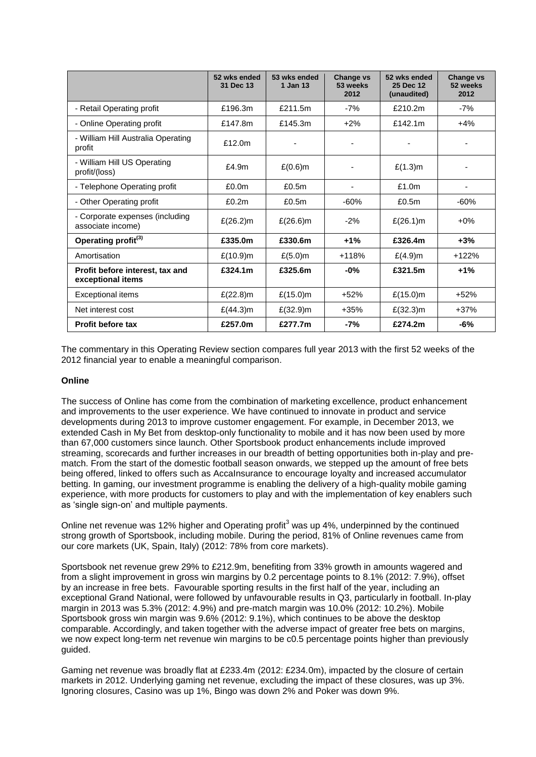|                                                      | 52 wks ended<br>31 Dec 13 | 53 wks ended<br>1 Jan 13 | <b>Change vs</b><br>53 weeks<br>2012 | 52 wks ended<br>25 Dec 12<br>(unaudited) | <b>Change vs</b><br>52 weeks<br>2012 |
|------------------------------------------------------|---------------------------|--------------------------|--------------------------------------|------------------------------------------|--------------------------------------|
| - Retail Operating profit                            | £196.3m                   | £211.5m                  | $-7%$                                | £210.2m                                  | $-7%$                                |
| - Online Operating profit                            | £147.8m                   | £145.3m                  | $+2\%$                               | £142.1m                                  | $+4%$                                |
| - William Hill Australia Operating<br>profit         | £12.0m                    |                          |                                      |                                          |                                      |
| - William Hill US Operating<br>profit/(loss)         | £4.9m                     | $£(0.6)$ m               |                                      | £(1.3)m                                  |                                      |
| - Telephone Operating profit                         | £0.0 <sub>m</sub>         | £0.5m                    |                                      | £1.0m                                    |                                      |
| - Other Operating profit                             | £0.2m                     | £0.5m                    | $-60%$                               | £0.5m                                    | $-60%$                               |
| - Corporate expenses (including<br>associate income) | £ $(26.2)$ m              | $£(26.6)$ m              | $-2%$                                | £(26.1)m                                 | $+0\%$                               |
| Operating profit <sup>(3)</sup>                      | £335.0m                   | £330.6m                  | $+1%$                                | £326.4m                                  | $+3%$                                |
| Amortisation                                         | £(10.9)m                  | $£(5.0)$ m               | $+118%$                              | $£(4.9)$ m                               | $+122%$                              |
| Profit before interest, tax and<br>exceptional items | £324.1m                   | £325.6m                  | $-0\%$                               | £321.5m                                  | $+1%$                                |
| <b>Exceptional items</b>                             | £ $(22.8)$ m              | £ $(15.0)$ m             | $+52%$                               | £ $(15.0)$ m                             | $+52%$                               |
| Net interest cost                                    | £ $(44.3)$ m              | £ $(32.9)$ m             | $+35%$                               | £(32.3)m                                 | $+37%$                               |
| <b>Profit before tax</b>                             | £257.0m                   | £277.7m                  | $-7%$                                | £274.2m                                  | $-6%$                                |

The commentary in this Operating Review section compares full year 2013 with the first 52 weeks of the 2012 financial year to enable a meaningful comparison.

### **Online**

The success of Online has come from the combination of marketing excellence, product enhancement and improvements to the user experience. We have continued to innovate in product and service developments during 2013 to improve customer engagement. For example, in December 2013, we extended Cash in My Bet from desktop-only functionality to mobile and it has now been used by more than 67,000 customers since launch. Other Sportsbook product enhancements include improved streaming, scorecards and further increases in our breadth of betting opportunities both in-play and prematch. From the start of the domestic football season onwards, we stepped up the amount of free bets being offered, linked to offers such as AccaInsurance to encourage loyalty and increased accumulator betting. In gaming, our investment programme is enabling the delivery of a high-quality mobile gaming experience, with more products for customers to play and with the implementation of key enablers such as 'single sign-on' and multiple payments.

Online net revenue was 12% higher and Operating profit<sup>3</sup> was up 4%, underpinned by the continued strong growth of Sportsbook, including mobile. During the period, 81% of Online revenues came from our core markets (UK, Spain, Italy) (2012: 78% from core markets).

Sportsbook net revenue grew 29% to £212.9m, benefiting from 33% growth in amounts wagered and from a slight improvement in gross win margins by 0.2 percentage points to 8.1% (2012: 7.9%), offset by an increase in free bets. Favourable sporting results in the first half of the year, including an exceptional Grand National, were followed by unfavourable results in Q3, particularly in football. In-play margin in 2013 was 5.3% (2012: 4.9%) and pre-match margin was 10.0% (2012: 10.2%). Mobile Sportsbook gross win margin was 9.6% (2012: 9.1%), which continues to be above the desktop comparable. Accordingly, and taken together with the adverse impact of greater free bets on margins, we now expect long-term net revenue win margins to be c0.5 percentage points higher than previously guided.

Gaming net revenue was broadly flat at £233.4m (2012: £234.0m), impacted by the closure of certain markets in 2012. Underlying gaming net revenue, excluding the impact of these closures, was up 3%. Ignoring closures, Casino was up 1%, Bingo was down 2% and Poker was down 9%.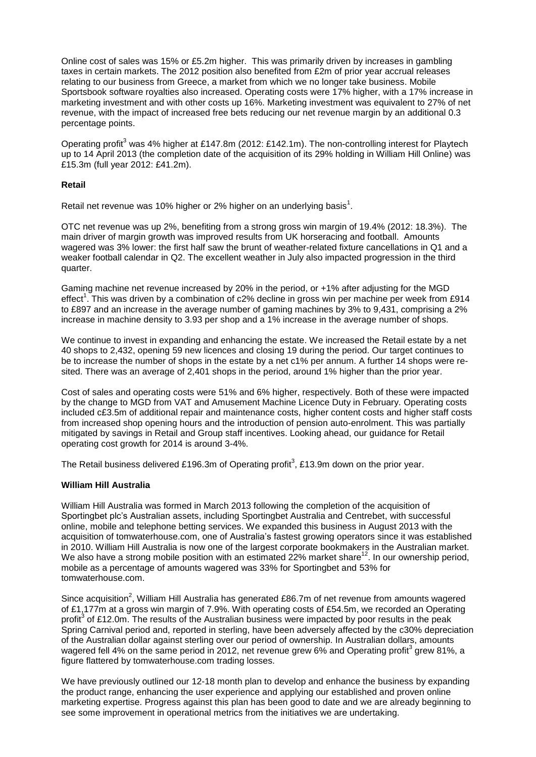Online cost of sales was 15% or £5.2m higher. This was primarily driven by increases in gambling taxes in certain markets. The 2012 position also benefited from £2m of prior year accrual releases relating to our business from Greece, a market from which we no longer take business. Mobile Sportsbook software royalties also increased. Operating costs were 17% higher, with a 17% increase in marketing investment and with other costs up 16%. Marketing investment was equivalent to 27% of net revenue, with the impact of increased free bets reducing our net revenue margin by an additional 0.3 percentage points.

Operating profit<sup>3</sup> was 4% higher at £147.8m (2012: £142.1m). The non-controlling interest for Playtech up to 14 April 2013 (the completion date of the acquisition of its 29% holding in William Hill Online) was £15.3m (full year 2012: £41.2m).

### **Retail**

Retail net revenue was 10% higher or 2% higher on an underlying basis<sup>1</sup>.

OTC net revenue was up 2%, benefiting from a strong gross win margin of 19.4% (2012: 18.3%). The main driver of margin growth was improved results from UK horseracing and football. Amounts wagered was 3% lower: the first half saw the brunt of weather-related fixture cancellations in Q1 and a weaker football calendar in Q2. The excellent weather in July also impacted progression in the third quarter.

Gaming machine net revenue increased by 20% in the period, or +1% after adjusting for the MGD effect<sup>1</sup>. This was driven by a combination of c2% decline in gross win per machine per week from £914 to £897 and an increase in the average number of gaming machines by 3% to 9,431, comprising a 2% increase in machine density to 3.93 per shop and a 1% increase in the average number of shops.

We continue to invest in expanding and enhancing the estate. We increased the Retail estate by a net 40 shops to 2,432, opening 59 new licences and closing 19 during the period. Our target continues to be to increase the number of shops in the estate by a net c1% per annum. A further 14 shops were resited. There was an average of 2,401 shops in the period, around 1% higher than the prior year.

Cost of sales and operating costs were 51% and 6% higher, respectively. Both of these were impacted by the change to MGD from VAT and Amusement Machine Licence Duty in February. Operating costs included c£3.5m of additional repair and maintenance costs, higher content costs and higher staff costs from increased shop opening hours and the introduction of pension auto-enrolment. This was partially mitigated by savings in Retail and Group staff incentives. Looking ahead, our guidance for Retail operating cost growth for 2014 is around 3-4%.

The Retail business delivered £196.3m of Operating profit<sup>3</sup>, £13.9m down on the prior year.

# **William Hill Australia**

William Hill Australia was formed in March 2013 following the completion of the acquisition of Sportingbet plc's Australian assets, including Sportingbet Australia and Centrebet, with successful online, mobile and telephone betting services. We expanded this business in August 2013 with the acquisition of tomwaterhouse.com, one of Australia's fastest growing operators since it was established in 2010. William Hill Australia is now one of the largest corporate bookmakers in the Australian market. We also have a strong mobile position with an estimated 22% market share<sup>12</sup>. In our ownership period, mobile as a percentage of amounts wagered was 33% for Sportingbet and 53% for tomwaterhouse.com.

Since acquisition<sup>2</sup>, William Hill Australia has generated £86.7m of net revenue from amounts wagered of £1,177m at a gross win margin of 7.9%. With operating costs of £54.5m, we recorded an Operating profit<sup>3</sup> of £12.0m. The results of the Australian business were impacted by poor results in the peak Spring Carnival period and, reported in sterling, have been adversely affected by the c30% depreciation of the Australian dollar against sterling over our period of ownership. In Australian dollars, amounts wagered fell 4% on the same period in 2012, net revenue grew 6% and Operating profit<sup>3</sup> grew 81%, a figure flattered by tomwaterhouse.com trading losses.

We have previously outlined our 12-18 month plan to develop and enhance the business by expanding the product range, enhancing the user experience and applying our established and proven online marketing expertise. Progress against this plan has been good to date and we are already beginning to see some improvement in operational metrics from the initiatives we are undertaking.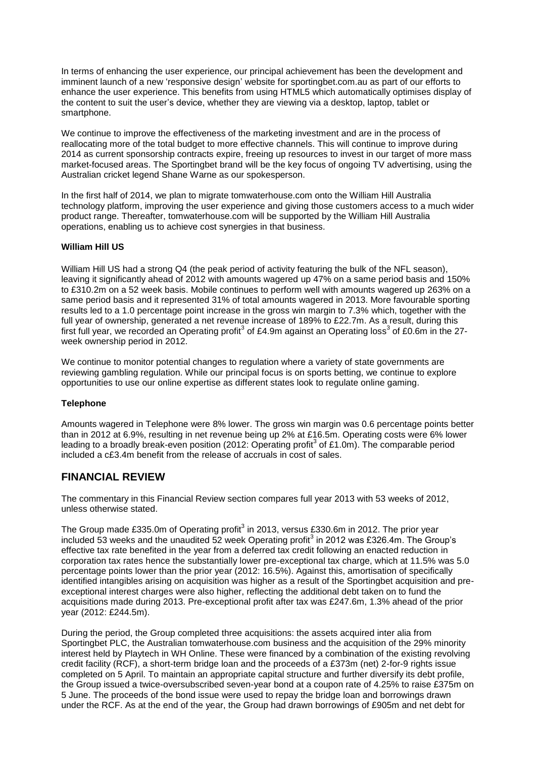In terms of enhancing the user experience, our principal achievement has been the development and imminent launch of a new 'responsive design' website for sportingbet.com.au as part of our efforts to enhance the user experience. This benefits from using HTML5 which automatically optimises display of the content to suit the user's device, whether they are viewing via a desktop, laptop, tablet or smartphone.

We continue to improve the effectiveness of the marketing investment and are in the process of reallocating more of the total budget to more effective channels. This will continue to improve during 2014 as current sponsorship contracts expire, freeing up resources to invest in our target of more mass market-focused areas. The Sportingbet brand will be the key focus of ongoing TV advertising, using the Australian cricket legend Shane Warne as our spokesperson.

In the first half of 2014, we plan to migrate tomwaterhouse.com onto the William Hill Australia technology platform, improving the user experience and giving those customers access to a much wider product range. Thereafter, tomwaterhouse.com will be supported by the William Hill Australia operations, enabling us to achieve cost synergies in that business.

# **William Hill US**

William Hill US had a strong Q4 (the peak period of activity featuring the bulk of the NFL season), leaving it significantly ahead of 2012 with amounts wagered up 47% on a same period basis and 150% to £310.2m on a 52 week basis. Mobile continues to perform well with amounts wagered up 263% on a same period basis and it represented 31% of total amounts wagered in 2013. More favourable sporting results led to a 1.0 percentage point increase in the gross win margin to 7.3% which, together with the full year of ownership, generated a net revenue increase of 189% to £22.7m. As a result, during this first full year, we recorded an Operating profit<sup>3</sup> of £4.9m against an Operating loss<sup>3</sup> of £0.6m in the 27week ownership period in 2012.

We continue to monitor potential changes to regulation where a variety of state governments are reviewing gambling regulation. While our principal focus is on sports betting, we continue to explore opportunities to use our online expertise as different states look to regulate online gaming.

### **Telephone**

Amounts wagered in Telephone were 8% lower. The gross win margin was 0.6 percentage points better than in 2012 at 6.9%, resulting in net revenue being up 2% at £16.5m. Operating costs were 6% lower leading to a broadly break-even position (2012: Operating profit<sup>3</sup> of £1.0m). The comparable period included a c£3.4m benefit from the release of accruals in cost of sales.

# **FINANCIAL REVIEW**

The commentary in this Financial Review section compares full year 2013 with 53 weeks of 2012, unless otherwise stated.

The Group made £335.0m of Operating profit<sup>3</sup> in 2013, versus £330.6m in 2012. The prior year included 53 weeks and the unaudited 52 week Operating profit<sup>3</sup> in 2012 was £326.4m. The Group's effective tax rate benefited in the year from a deferred tax credit following an enacted reduction in corporation tax rates hence the substantially lower pre-exceptional tax charge, which at 11.5% was 5.0 percentage points lower than the prior year (2012: 16.5%). Against this, amortisation of specifically identified intangibles arising on acquisition was higher as a result of the Sportingbet acquisition and preexceptional interest charges were also higher, reflecting the additional debt taken on to fund the acquisitions made during 2013. Pre-exceptional profit after tax was £247.6m, 1.3% ahead of the prior year (2012: £244.5m).

During the period, the Group completed three acquisitions: the assets acquired inter alia from Sportingbet PLC, the Australian tomwaterhouse.com business and the acquisition of the 29% minority interest held by Playtech in WH Online. These were financed by a combination of the existing revolving credit facility (RCF), a short-term bridge loan and the proceeds of a £373m (net) 2-for-9 rights issue completed on 5 April. To maintain an appropriate capital structure and further diversify its debt profile, the Group issued a twice-oversubscribed seven-year bond at a coupon rate of 4.25% to raise £375m on 5 June. The proceeds of the bond issue were used to repay the bridge loan and borrowings drawn under the RCF. As at the end of the year, the Group had drawn borrowings of £905m and net debt for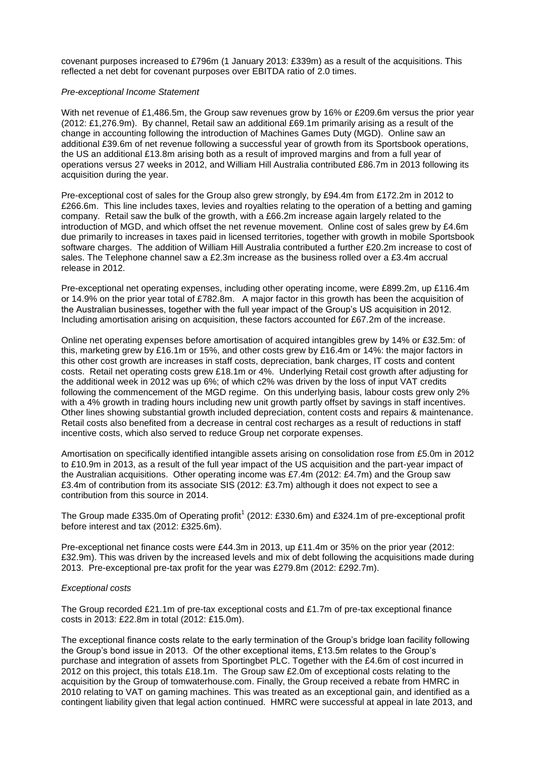covenant purposes increased to £796m (1 January 2013: £339m) as a result of the acquisitions. This reflected a net debt for covenant purposes over EBITDA ratio of 2.0 times.

### *Pre-exceptional Income Statement*

With net revenue of £1,486.5m, the Group saw revenues grow by 16% or £209.6m versus the prior year (2012: £1,276.9m). By channel, Retail saw an additional £69.1m primarily arising as a result of the change in accounting following the introduction of Machines Games Duty (MGD). Online saw an additional £39.6m of net revenue following a successful year of growth from its Sportsbook operations, the US an additional £13.8m arising both as a result of improved margins and from a full year of operations versus 27 weeks in 2012, and William Hill Australia contributed £86.7m in 2013 following its acquisition during the year.

Pre-exceptional cost of sales for the Group also grew strongly, by £94.4m from £172.2m in 2012 to £266.6m. This line includes taxes, levies and royalties relating to the operation of a betting and gaming company. Retail saw the bulk of the growth, with a £66.2m increase again largely related to the introduction of MGD, and which offset the net revenue movement. Online cost of sales grew by £4.6m due primarily to increases in taxes paid in licensed territories, together with growth in mobile Sportsbook software charges. The addition of William Hill Australia contributed a further £20.2m increase to cost of sales. The Telephone channel saw a £2.3m increase as the business rolled over a £3.4m accrual release in 2012.

Pre-exceptional net operating expenses, including other operating income, were £899.2m, up £116.4m or 14.9% on the prior year total of £782.8m. A major factor in this growth has been the acquisition of the Australian businesses, together with the full year impact of the Group's US acquisition in 2012. Including amortisation arising on acquisition, these factors accounted for £67.2m of the increase.

Online net operating expenses before amortisation of acquired intangibles grew by 14% or £32.5m: of this, marketing grew by £16.1m or 15%, and other costs grew by £16.4m or 14%: the major factors in this other cost growth are increases in staff costs, depreciation, bank charges, IT costs and content costs. Retail net operating costs grew £18.1m or 4%. Underlying Retail cost growth after adjusting for the additional week in 2012 was up 6%; of which c2% was driven by the loss of input VAT credits following the commencement of the MGD regime. On this underlying basis, labour costs grew only 2% with a 4% growth in trading hours including new unit growth partly offset by savings in staff incentives. Other lines showing substantial growth included depreciation, content costs and repairs & maintenance. Retail costs also benefited from a decrease in central cost recharges as a result of reductions in staff incentive costs, which also served to reduce Group net corporate expenses.

Amortisation on specifically identified intangible assets arising on consolidation rose from £5.0m in 2012 to £10.9m in 2013, as a result of the full year impact of the US acquisition and the part-year impact of the Australian acquisitions. Other operating income was £7.4m (2012: £4.7m) and the Group saw £3.4m of contribution from its associate SIS (2012: £3.7m) although it does not expect to see a contribution from this source in 2014.

The Group made £335.0m of Operating profit<sup>1</sup> (2012: £330.6m) and £324.1m of pre-exceptional profit before interest and tax (2012: £325.6m).

Pre-exceptional net finance costs were £44.3m in 2013, up £11.4m or 35% on the prior year (2012: £32.9m). This was driven by the increased levels and mix of debt following the acquisitions made during 2013. Pre-exceptional pre-tax profit for the year was £279.8m (2012: £292.7m).

### *Exceptional costs*

The Group recorded £21.1m of pre-tax exceptional costs and £1.7m of pre-tax exceptional finance costs in 2013: £22.8m in total (2012: £15.0m).

The exceptional finance costs relate to the early termination of the Group's bridge loan facility following the Group's bond issue in 2013. Of the other exceptional items, £13.5m relates to the Group's purchase and integration of assets from Sportingbet PLC. Together with the £4.6m of cost incurred in 2012 on this project, this totals £18.1m. The Group saw £2.0m of exceptional costs relating to the acquisition by the Group of tomwaterhouse.com. Finally, the Group received a rebate from HMRC in 2010 relating to VAT on gaming machines. This was treated as an exceptional gain, and identified as a contingent liability given that legal action continued. HMRC were successful at appeal in late 2013, and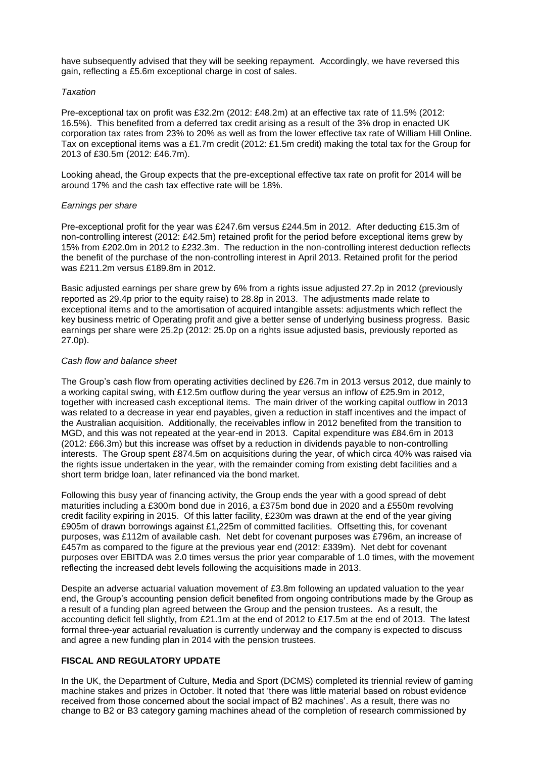have subsequently advised that they will be seeking repayment. Accordingly, we have reversed this gain, reflecting a £5.6m exceptional charge in cost of sales.

### *Taxation*

Pre-exceptional tax on profit was £32.2m (2012: £48.2m) at an effective tax rate of 11.5% (2012: 16.5%). This benefited from a deferred tax credit arising as a result of the 3% drop in enacted UK corporation tax rates from 23% to 20% as well as from the lower effective tax rate of William Hill Online. Tax on exceptional items was a £1.7m credit (2012: £1.5m credit) making the total tax for the Group for 2013 of £30.5m (2012: £46.7m).

Looking ahead, the Group expects that the pre-exceptional effective tax rate on profit for 2014 will be around 17% and the cash tax effective rate will be 18%.

### *Earnings per share*

Pre-exceptional profit for the year was £247.6m versus £244.5m in 2012. After deducting £15.3m of non-controlling interest (2012: £42.5m) retained profit for the period before exceptional items grew by 15% from £202.0m in 2012 to £232.3m. The reduction in the non-controlling interest deduction reflects the benefit of the purchase of the non-controlling interest in April 2013. Retained profit for the period was £211.2m versus £189.8m in 2012.

Basic adjusted earnings per share grew by 6% from a rights issue adjusted 27.2p in 2012 (previously reported as 29.4p prior to the equity raise) to 28.8p in 2013. The adjustments made relate to exceptional items and to the amortisation of acquired intangible assets: adjustments which reflect the key business metric of Operating profit and give a better sense of underlying business progress. Basic earnings per share were 25.2p (2012: 25.0p on a rights issue adjusted basis, previously reported as 27.0p).

### *Cash flow and balance sheet*

The Group's cash flow from operating activities declined by £26.7m in 2013 versus 2012, due mainly to a working capital swing, with £12.5m outflow during the year versus an inflow of £25.9m in 2012, together with increased cash exceptional items. The main driver of the working capital outflow in 2013 was related to a decrease in year end payables, given a reduction in staff incentives and the impact of the Australian acquisition. Additionally, the receivables inflow in 2012 benefited from the transition to MGD, and this was not repeated at the year-end in 2013. Capital expenditure was £84.6m in 2013 (2012: £66.3m) but this increase was offset by a reduction in dividends payable to non-controlling interests. The Group spent £874.5m on acquisitions during the year, of which circa 40% was raised via the rights issue undertaken in the year, with the remainder coming from existing debt facilities and a short term bridge loan, later refinanced via the bond market.

Following this busy year of financing activity, the Group ends the year with a good spread of debt maturities including a £300m bond due in 2016, a £375m bond due in 2020 and a £550m revolving credit facility expiring in 2015. Of this latter facility, £230m was drawn at the end of the year giving £905m of drawn borrowings against £1,225m of committed facilities. Offsetting this, for covenant purposes, was £112m of available cash. Net debt for covenant purposes was £796m, an increase of £457m as compared to the figure at the previous year end (2012: £339m). Net debt for covenant purposes over EBITDA was 2.0 times versus the prior year comparable of 1.0 times, with the movement reflecting the increased debt levels following the acquisitions made in 2013.

Despite an adverse actuarial valuation movement of £3.8m following an updated valuation to the year end, the Group's accounting pension deficit benefited from ongoing contributions made by the Group as a result of a funding plan agreed between the Group and the pension trustees. As a result, the accounting deficit fell slightly, from £21.1m at the end of 2012 to £17.5m at the end of 2013. The latest formal three-year actuarial revaluation is currently underway and the company is expected to discuss and agree a new funding plan in 2014 with the pension trustees.

# **FISCAL AND REGULATORY UPDATE**

In the UK, the Department of Culture, Media and Sport (DCMS) completed its triennial review of gaming machine stakes and prizes in October. It noted that 'there was little material based on robust evidence received from those concerned about the social impact of B2 machines'. As a result, there was no change to B2 or B3 category gaming machines ahead of the completion of research commissioned by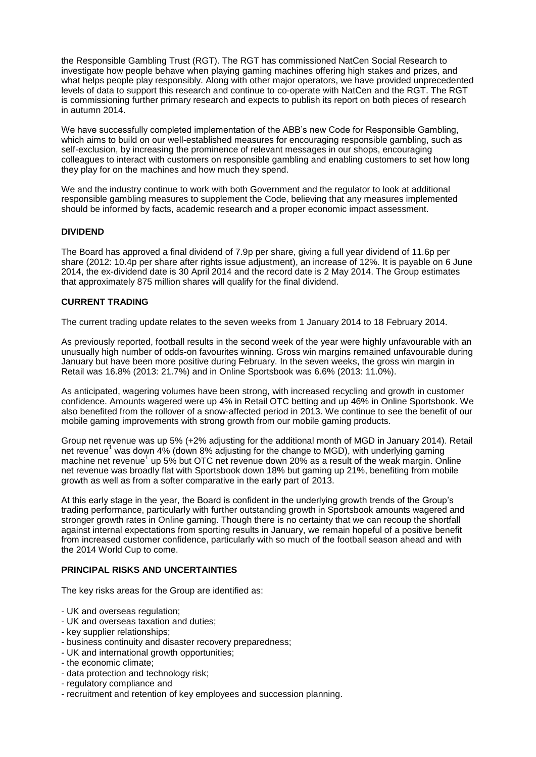the Responsible Gambling Trust (RGT). The RGT has commissioned NatCen Social Research to investigate how people behave when playing gaming machines offering high stakes and prizes, and what helps people play responsibly. Along with other major operators, we have provided unprecedented levels of data to support this research and continue to co-operate with NatCen and the RGT. The RGT is commissioning further primary research and expects to publish its report on both pieces of research in autumn 2014.

We have successfully completed implementation of the ABB's new Code for Responsible Gambling, which aims to build on our well-established measures for encouraging responsible gambling, such as self-exclusion, by increasing the prominence of relevant messages in our shops, encouraging colleagues to interact with customers on responsible gambling and enabling customers to set how long they play for on the machines and how much they spend.

We and the industry continue to work with both Government and the regulator to look at additional responsible gambling measures to supplement the Code, believing that any measures implemented should be informed by facts, academic research and a proper economic impact assessment.

# **DIVIDEND**

The Board has approved a final dividend of 7.9p per share, giving a full year dividend of 11.6p per share (2012: 10.4p per share after rights issue adjustment), an increase of 12%. It is payable on 6 June 2014, the ex-dividend date is 30 April 2014 and the record date is 2 May 2014. The Group estimates that approximately 875 million shares will qualify for the final dividend.

### **CURRENT TRADING**

The current trading update relates to the seven weeks from 1 January 2014 to 18 February 2014.

As previously reported, football results in the second week of the year were highly unfavourable with an unusually high number of odds-on favourites winning. Gross win margins remained unfavourable during January but have been more positive during February. In the seven weeks, the gross win margin in Retail was 16.8% (2013: 21.7%) and in Online Sportsbook was 6.6% (2013: 11.0%).

As anticipated, wagering volumes have been strong, with increased recycling and growth in customer confidence. Amounts wagered were up 4% in Retail OTC betting and up 46% in Online Sportsbook. We also benefited from the rollover of a snow-affected period in 2013. We continue to see the benefit of our mobile gaming improvements with strong growth from our mobile gaming products.

Group net revenue was up 5% (+2% adjusting for the additional month of MGD in January 2014). Retail net revenue<sup>1</sup> was down 4% (down 8% adjusting for the change to MGD), with underlying gaming machine net revenue<sup>1</sup> up 5% but OTC net revenue down 20% as a result of the weak margin. Online net revenue was broadly flat with Sportsbook down 18% but gaming up 21%, benefiting from mobile growth as well as from a softer comparative in the early part of 2013.

At this early stage in the year, the Board is confident in the underlying growth trends of the Group's trading performance, particularly with further outstanding growth in Sportsbook amounts wagered and stronger growth rates in Online gaming. Though there is no certainty that we can recoup the shortfall against internal expectations from sporting results in January, we remain hopeful of a positive benefit from increased customer confidence, particularly with so much of the football season ahead and with the 2014 World Cup to come.

### **PRINCIPAL RISKS AND UNCERTAINTIES**

The key risks areas for the Group are identified as:

- UK and overseas regulation;
- UK and overseas taxation and duties;
- key supplier relationships;
- business continuity and disaster recovery preparedness;
- UK and international growth opportunities;
- the economic climate;
- data protection and technology risk;
- regulatory compliance and
- recruitment and retention of key employees and succession planning.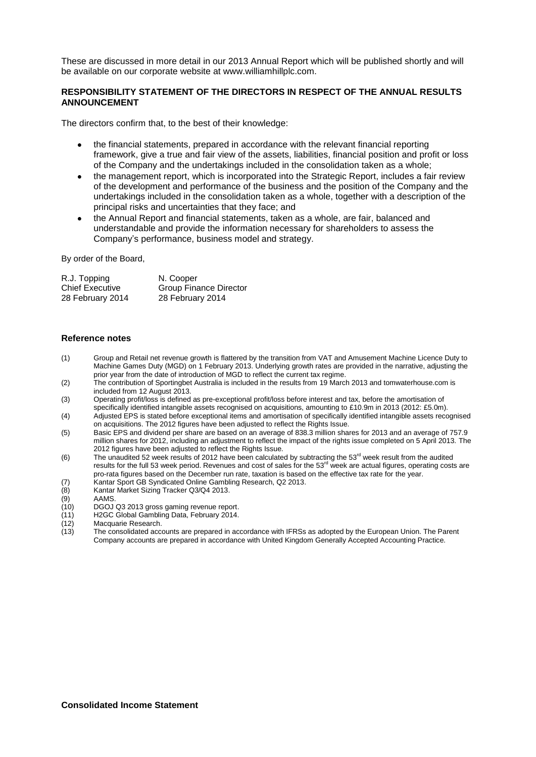These are discussed in more detail in our 2013 Annual Report which will be published shortly and will be available on our corporate website at www.williamhillplc.com.

# **RESPONSIBILITY STATEMENT OF THE DIRECTORS IN RESPECT OF THE ANNUAL RESULTS ANNOUNCEMENT**

The directors confirm that, to the best of their knowledge:

- the financial statements, prepared in accordance with the relevant financial reporting framework, give a true and fair view of the assets, liabilities, financial position and profit or loss of the Company and the undertakings included in the consolidation taken as a whole;
- the management report, which is incorporated into the Strategic Report, includes a fair review of the development and performance of the business and the position of the Company and the undertakings included in the consolidation taken as a whole, together with a description of the principal risks and uncertainties that they face; and
- the Annual Report and financial statements, taken as a whole, are fair, balanced and understandable and provide the information necessary for shareholders to assess the Company's performance, business model and strategy.

By order of the Board,

| R.J. Topping           | N. Cooper              |
|------------------------|------------------------|
| <b>Chief Executive</b> | Group Finance Director |
| 28 February 2014       | 28 February 2014       |

### **Reference notes**

- (1) Group and Retail net revenue growth is flattered by the transition from VAT and Amusement Machine Licence Duty to Machine Games Duty (MGD) on 1 February 2013. Underlying growth rates are provided in the narrative, adjusting the prior year from the date of introduction of MGD to reflect the current tax regime.
- (2) The contribution of Sportingbet Australia is included in the results from 19 March 2013 and tomwaterhouse.com is included from 12 August 2013.
- (3) Operating profit/loss is defined as pre-exceptional profit/loss before interest and tax, before the amortisation of specifically identified intangible assets recognised on acquisitions, amounting to £10.9m in 2013 (2012: £5.0m).
- (4) Adjusted EPS is stated before exceptional items and amortisation of specifically identified intangible assets recognised on acquisitions. The 2012 figures have been adjusted to reflect the Rights Issue.
- (5) Basic EPS and dividend per share are based on an average of 838.3 million shares for 2013 and an average of 757.9 million shares for 2012, including an adjustment to reflect the impact of the rights issue completed on 5 April 2013. The 2012 figures have been adjusted to reflect the Rights Issue.
- (6) The unaudited 52 week results of 2012 have been calculated by subtracting the  $53<sup>rd</sup>$  week result from the audited results for the full 53 week period. Revenues and cost of sales for the 53<sup>rd</sup> week are actual figures, operating costs are results for the full 53 week period. Revenues and cost of sales for the 53<sup>rd</sup> week are actual fig pro-rata figures based on the December run rate, taxation is based on the effective tax rate for the year.
- (7) Kantar Sport GB Syndicated Online Gambling Research, Q2 2013.<br>(8) Kantar Market Sizing Tracker Q3/Q4 2013.
- (8) Kantar Market Sizing Tracker Q3/Q4 2013.
- (9) AAMS.<br>(10) DGOJ
- (10) DGOJ Q3 2013 gross gaming revenue report.
- (11) H2GC Global Gambling Data, February 2014.
- Macquarie Research
- (13) The consolidated accounts are prepared in accordance with IFRSs as adopted by the European Union. The Parent Company accounts are prepared in accordance with United Kingdom Generally Accepted Accounting Practice.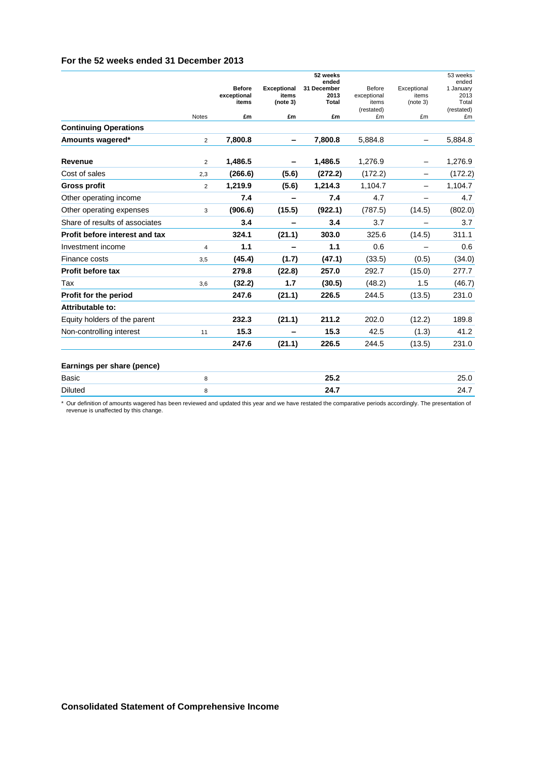|                                |                |               |                    | 52 weeks             |                     |                          | 53 weeks            |
|--------------------------------|----------------|---------------|--------------------|----------------------|---------------------|--------------------------|---------------------|
|                                |                | <b>Before</b> | <b>Exceptional</b> | ended<br>31 December | Before              | Exceptional              | ended<br>1 January  |
|                                |                | exceptional   | items              | 2013                 | exceptional         | items                    | 2013                |
|                                |                | items         | (note 3)           | <b>Total</b>         | items<br>(restated) | (note 3)                 | Total<br>(restated) |
|                                | <b>Notes</b>   | £m            | £m                 | £m                   | £m                  | £m                       | £m                  |
| <b>Continuing Operations</b>   |                |               |                    |                      |                     |                          |                     |
| Amounts wagered*               | $\overline{2}$ | 7,800.8       | -                  | 7,800.8              | 5,884.8             | $\overline{\phantom{0}}$ | 5.884.8             |
| <b>Revenue</b>                 | 2              | 1,486.5       |                    | 1,486.5              | 1,276.9             |                          | 1,276.9             |
| Cost of sales                  | 2,3            | (266.6)       | (5.6)              | (272.2)              | (172.2)             | -                        | (172.2)             |
| <b>Gross profit</b>            | $\overline{2}$ | 1,219.9       | (5.6)              | 1,214.3              | 1,104.7             |                          | 1,104.7             |
| Other operating income         |                | 7.4           |                    | 7.4                  | 4.7                 |                          | 4.7                 |
| Other operating expenses       | 3              | (906.6)       | (15.5)             | (922.1)              | (787.5)             | (14.5)                   | (802.0)             |
| Share of results of associates |                | 3.4           |                    | 3.4                  | 3.7                 |                          | 3.7                 |
| Profit before interest and tax |                | 324.1         | (21.1)             | 303.0                | 325.6               | (14.5)                   | 311.1               |
| Investment income              | $\overline{4}$ | 1.1           |                    | 1.1                  | 0.6                 |                          | 0.6                 |
| Finance costs                  | 3,5            | (45.4)        | (1.7)              | (47.1)               | (33.5)              | (0.5)                    | (34.0)              |
| Profit before tax              |                | 279.8         | (22.8)             | 257.0                | 292.7               | (15.0)                   | 277.7               |
| Tax                            | 3.6            | (32.2)        | 1.7                | (30.5)               | (48.2)              | 1.5                      | (46.7)              |
| Profit for the period          |                | 247.6         | (21.1)             | 226.5                | 244.5               | (13.5)                   | 231.0               |
| Attributable to:               |                |               |                    |                      |                     |                          |                     |
| Equity holders of the parent   |                | 232.3         | (21.1)             | 211.2                | 202.0               | (12.2)                   | 189.8               |
| Non-controlling interest       | 11             | 15.3          |                    | 15.3                 | 42.5                | (1.3)                    | 41.2                |
|                                |                | 247.6         | (21.1)             | 226.5                | 244.5               | (13.5)                   | 231.0               |
| Earnings per share (pence)     |                |               |                    |                      |                     |                          |                     |
| Basic                          | 8              |               |                    | 25.2                 |                     |                          | 25.0                |
| <b>Diluted</b>                 | 8              |               |                    | 24.7                 |                     |                          | 24.7                |
|                                |                |               |                    |                      |                     |                          |                     |

\* Our definition of amounts wagered has been reviewed and updated this year and we have restated the comparative periods accordingly. The presentation of revenue is unaffected by this change.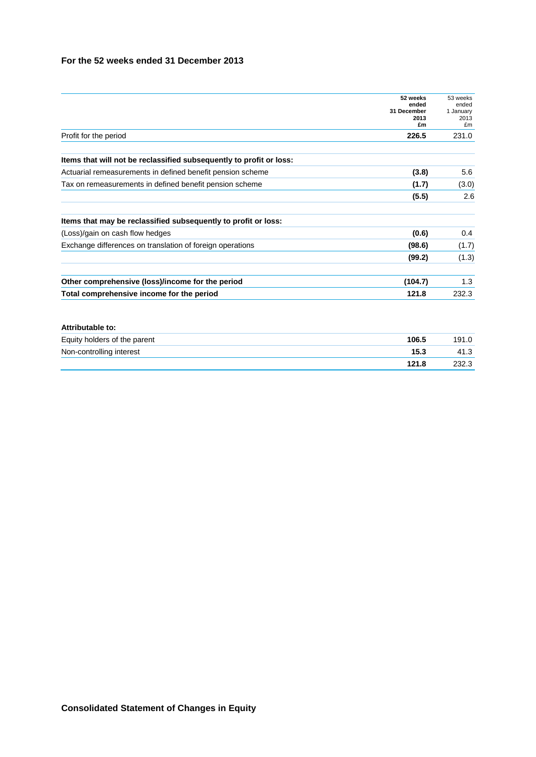|                                                                     | 52 weeks            | 53 weeks          |
|---------------------------------------------------------------------|---------------------|-------------------|
|                                                                     | ended               | ended             |
|                                                                     | 31 December<br>2013 | 1 January<br>2013 |
|                                                                     | £m                  | £m                |
| Profit for the period                                               | 226.5               | 231.0             |
| Items that will not be reclassified subsequently to profit or loss: |                     |                   |
| Actuarial remeasurements in defined benefit pension scheme          | (3.8)               | 5.6               |
| Tax on remeasurements in defined benefit pension scheme             | (1.7)               | (3.0)             |
|                                                                     | (5.5)               | 2.6               |
| Items that may be reclassified subsequently to profit or loss:      |                     |                   |
| (Loss)/gain on cash flow hedges                                     | (0.6)               | 0.4               |
| Exchange differences on translation of foreign operations           | (98.6)              | (1.7)             |
|                                                                     | (99.2)              | (1.3)             |
| Other comprehensive (loss)/income for the period                    | (104.7)             | 1.3               |
| Total comprehensive income for the period                           | 121.8               | 232.3             |

| Equity holders of the parent | 106.5 | 191.0 |
|------------------------------|-------|-------|
| Non-controlling interest     | 15.3  | 41.3  |
|                              | 121.8 | 232.3 |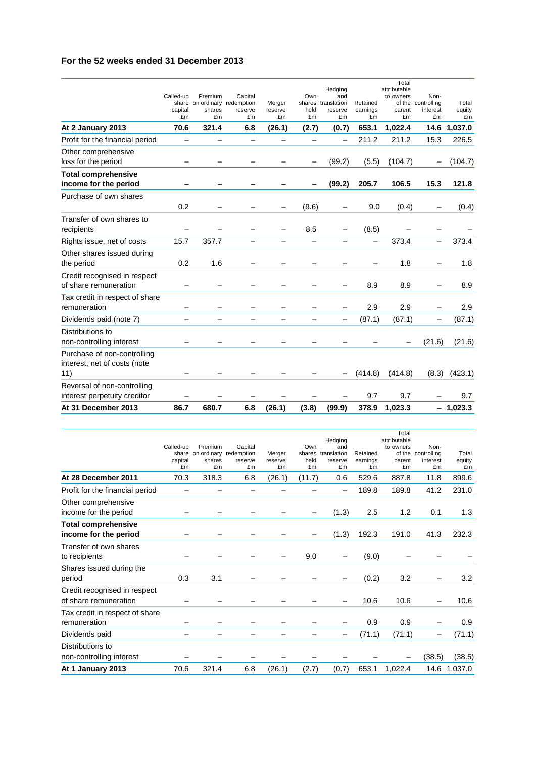| At 31 December 2013                                                | 86.7                       | 680.7                                                   | 6.8                      | (26.1)                  | (3.8)             | (99.9)                                                | 378.9                      | 1,023.3                                   |                                              | $-1,023.3$            |
|--------------------------------------------------------------------|----------------------------|---------------------------------------------------------|--------------------------|-------------------------|-------------------|-------------------------------------------------------|----------------------------|-------------------------------------------|----------------------------------------------|-----------------------|
| Reversal of non-controlling<br>interest perpetuity creditor        |                            |                                                         |                          |                         |                   |                                                       | 9.7                        | 9.7                                       |                                              | 9.7                   |
| Purchase of non-controlling<br>interest, net of costs (note<br>11) |                            |                                                         |                          |                         |                   |                                                       | (414.8)                    | (414.8)                                   | (8.3)                                        | (423.1)               |
| Distributions to<br>non-controlling interest                       |                            |                                                         |                          |                         |                   |                                                       |                            |                                           | (21.6)                                       | (21.6)                |
| Dividends paid (note 7)                                            |                            |                                                         |                          |                         |                   |                                                       | (87.1)                     | (87.1)                                    |                                              | (87.1)                |
| Tax credit in respect of share<br>remuneration                     |                            |                                                         |                          |                         |                   |                                                       | 2.9                        | 2.9                                       |                                              | 2.9                   |
| Credit recognised in respect<br>of share remuneration              |                            |                                                         |                          |                         |                   |                                                       | 8.9                        | 8.9                                       |                                              | 8.9                   |
| Other shares issued during<br>the period                           | 0.2                        | 1.6                                                     |                          |                         |                   |                                                       |                            | 1.8                                       |                                              | 1.8                   |
| Rights issue, net of costs                                         | 15.7                       | 357.7                                                   |                          |                         |                   |                                                       |                            | 373.4                                     | $\overline{\phantom{0}}$                     | 373.4                 |
| Transfer of own shares to<br>recipients                            |                            |                                                         |                          |                         | 8.5               |                                                       | (8.5)                      |                                           |                                              |                       |
| Purchase of own shares                                             | 0.2                        |                                                         |                          |                         | (9.6)             |                                                       | 9.0                        | (0.4)                                     | $\overline{\phantom{0}}$                     | (0.4)                 |
| income for the period                                              |                            |                                                         |                          |                         |                   | (99.2)                                                | 205.7                      | 106.5                                     | 15.3                                         | 121.8                 |
| <b>Total comprehensive</b>                                         |                            |                                                         |                          |                         |                   |                                                       |                            |                                           |                                              |                       |
| Other comprehensive<br>loss for the period                         |                            |                                                         |                          |                         |                   | (99.2)                                                | (5.5)                      | (104.7)                                   |                                              | (104.7)               |
| Profit for the financial period                                    |                            |                                                         |                          |                         |                   |                                                       | 211.2                      | 211.2                                     | 15.3                                         | 226.5                 |
| At 2 January 2013                                                  | 70.6                       | 321.4                                                   | 6.8                      | (26.1)                  | (2.7)             | (0.7)                                                 | 653.1                      | 1,022.4                                   | 14.6                                         | 1,037.0               |
|                                                                    | Called-up<br>capital<br>£m | Premium<br>share on ordinary redemption<br>shares<br>£m | Capital<br>reserve<br>£m | Merger<br>reserve<br>£m | Own<br>held<br>£m | Hedging<br>and<br>shares translation<br>reserve<br>£m | Retained<br>earnings<br>£m | attributable<br>to owners<br>parent<br>£m | Non-<br>of the controlling<br>interest<br>£m | Total<br>equity<br>£m |
|                                                                    |                            |                                                         |                          |                         |                   |                                                       |                            | Total                                     |                                              |                       |

|                                                       | Called-up<br>capital<br>£m | Premium<br>share on ordinary redemption<br>shares<br>£m | Capital<br>reserve<br>£m | Merger<br>reserve<br>£m | Own<br>held<br>£m | Hedging<br>and<br>shares translation<br>reserve<br>£m | Retained<br>earnings<br>£m | Total<br>attributable<br>to owners<br>parent<br>£m | Non-<br>of the controlling<br>interest<br>£m | Total<br>equity<br>£m |
|-------------------------------------------------------|----------------------------|---------------------------------------------------------|--------------------------|-------------------------|-------------------|-------------------------------------------------------|----------------------------|----------------------------------------------------|----------------------------------------------|-----------------------|
| At 28 December 2011                                   | 70.3                       | 318.3                                                   | 6.8                      | (26.1)                  | (11.7)            | 0.6                                                   | 529.6                      | 887.8                                              | 11.8                                         | 899.6                 |
| Profit for the financial period                       |                            |                                                         |                          |                         |                   | -                                                     | 189.8                      | 189.8                                              | 41.2                                         | 231.0                 |
| Other comprehensive<br>income for the period          |                            |                                                         |                          |                         |                   | (1.3)                                                 | 2.5                        | 1.2                                                | 0.1                                          | 1.3                   |
| <b>Total comprehensive</b><br>income for the period   |                            |                                                         |                          |                         |                   | (1.3)                                                 | 192.3                      | 191.0                                              | 41.3                                         | 232.3                 |
| Transfer of own shares<br>to recipients               |                            |                                                         |                          |                         | 9.0               |                                                       | (9.0)                      |                                                    |                                              |                       |
| Shares issued during the<br>period                    | 0.3                        | 3.1                                                     |                          |                         |                   |                                                       | (0.2)                      | 3.2                                                |                                              | 3.2                   |
| Credit recognised in respect<br>of share remuneration |                            |                                                         |                          |                         |                   |                                                       | 10.6                       | 10.6                                               |                                              | 10.6                  |
| Tax credit in respect of share<br>remuneration        |                            |                                                         |                          |                         |                   |                                                       | 0.9                        | 0.9                                                |                                              | 0.9                   |
| Dividends paid                                        |                            |                                                         |                          |                         |                   |                                                       | (71.1)                     | (71.1)                                             |                                              | (71.1)                |
| Distributions to<br>non-controlling interest          |                            |                                                         |                          |                         |                   |                                                       |                            |                                                    | (38.5)                                       | (38.5)                |
| At 1 January 2013                                     | 70.6                       | 321.4                                                   | 6.8                      | (26.1)                  | (2.7)             | (0.7)                                                 | 653.1                      | 1,022.4                                            |                                              | 14.6 1,037.0          |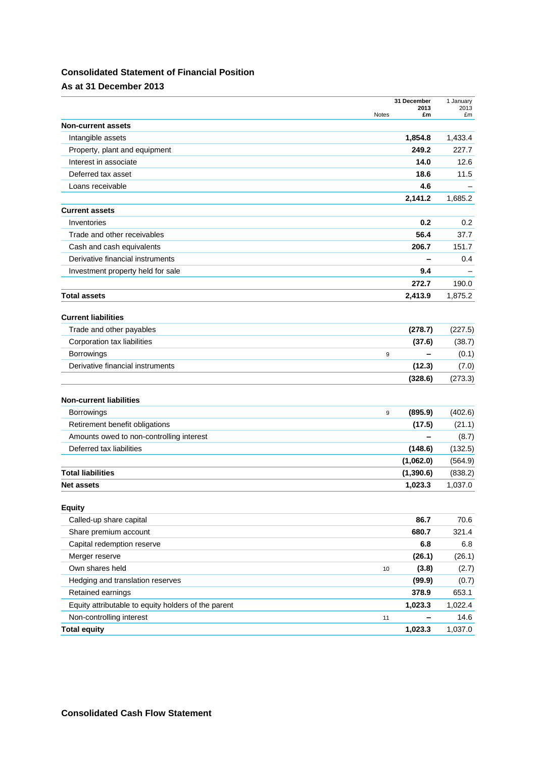# **Consolidated Statement of Financial Position**

# **As at 31 December 2013**

|                                                     | 31 December                | 1 January  |
|-----------------------------------------------------|----------------------------|------------|
|                                                     | 2013<br><b>Notes</b><br>£m | 2013<br>£m |
| <b>Non-current assets</b>                           |                            |            |
| Intangible assets                                   | 1,854.8                    | 1,433.4    |
| Property, plant and equipment                       | 249.2                      | 227.7      |
| Interest in associate                               | 14.0                       | 12.6       |
| Deferred tax asset                                  | 18.6                       | 11.5       |
| Loans receivable                                    | 4.6                        |            |
|                                                     | 2,141.2                    | 1,685.2    |
| <b>Current assets</b>                               |                            |            |
| Inventories                                         | 0.2                        | 0.2        |
| Trade and other receivables                         | 56.4                       | 37.7       |
| Cash and cash equivalents                           | 206.7                      | 151.7      |
| Derivative financial instruments                    | -                          | 0.4        |
| Investment property held for sale                   | 9.4                        |            |
|                                                     | 272.7                      | 190.0      |
| <b>Total assets</b>                                 | 2,413.9                    | 1,875.2    |
|                                                     |                            |            |
| <b>Current liabilities</b>                          |                            |            |
| Trade and other payables                            | (278.7)                    | (227.5)    |
| Corporation tax liabilities                         | (37.6)                     | (38.7)     |
| <b>Borrowings</b>                                   | 9                          | (0.1)      |
| Derivative financial instruments                    | (12.3)                     | (7.0)      |
|                                                     | (328.6)                    | (273.3)    |
|                                                     |                            |            |
| <b>Non-current liabilities</b>                      |                            |            |
| <b>Borrowings</b>                                   | (895.9)<br>9               | (402.6)    |
| Retirement benefit obligations                      | (17.5)                     | (21.1)     |
| Amounts owed to non-controlling interest            |                            | (8.7)      |
| Deferred tax liabilities                            | (148.6)                    | (132.5)    |
|                                                     | (1,062.0)                  | (564.9)    |
| <b>Total liabilities</b>                            | (1,390.6)                  | (838.2)    |
| <b>Net assets</b>                                   | 1,023.3                    | 1,037.0    |
| <b>Equity</b>                                       |                            |            |
| Called-up share capital                             | 86.7                       | 70.6       |
| Share premium account                               | 680.7                      | 321.4      |
| Capital redemption reserve                          | 6.8                        | 6.8        |
| Merger reserve                                      | (26.1)                     | (26.1)     |
| Own shares held                                     | (3.8)<br>10                | (2.7)      |
| Hedging and translation reserves                    | (99.9)                     | (0.7)      |
| Retained earnings                                   | 378.9                      | 653.1      |
| Equity attributable to equity holders of the parent | 1,023.3                    | 1,022.4    |
| Non-controlling interest                            | 11                         | 14.6       |
| <b>Total equity</b>                                 | 1,023.3                    | 1,037.0    |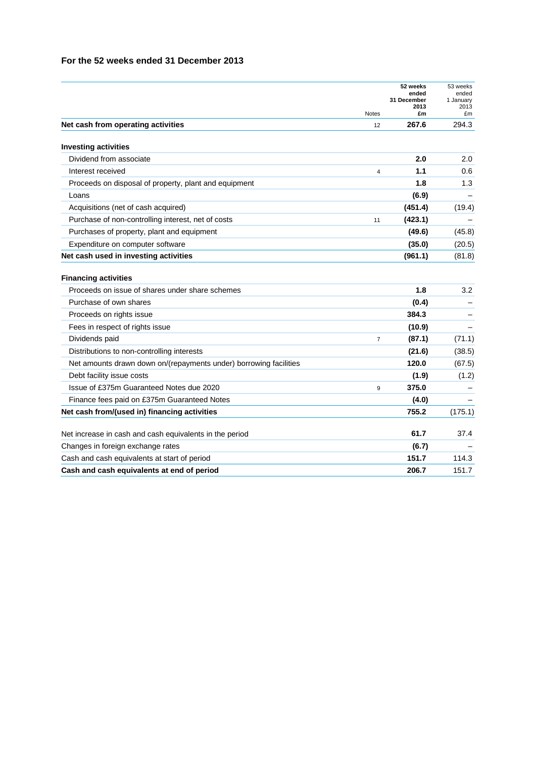|                                                                                | <b>Notes</b>   | 52 weeks<br>ended<br>31 December<br>2013<br>£m | 53 weeks<br>ended<br>1 January<br>2013<br>£m |
|--------------------------------------------------------------------------------|----------------|------------------------------------------------|----------------------------------------------|
| Net cash from operating activities                                             | 12             | 267.6                                          | 294.3                                        |
| <b>Investing activities</b>                                                    |                |                                                |                                              |
| Dividend from associate                                                        |                | 2.0                                            | 2.0                                          |
| Interest received                                                              | 4              | 1.1                                            | 0.6                                          |
| Proceeds on disposal of property, plant and equipment                          |                | 1.8                                            | 1.3                                          |
| Loans                                                                          |                | (6.9)                                          |                                              |
| Acquisitions (net of cash acquired)                                            |                | (451.4)                                        | (19.4)                                       |
| Purchase of non-controlling interest, net of costs                             | 11             | (423.1)                                        |                                              |
| Purchases of property, plant and equipment                                     |                | (49.6)                                         | (45.8)                                       |
| Expenditure on computer software                                               |                | (35.0)                                         | (20.5)                                       |
| Net cash used in investing activities                                          |                | (961.1)                                        | (81.8)                                       |
| <b>Financing activities</b><br>Proceeds on issue of shares under share schemes |                | 1.8                                            | 3.2                                          |
| Purchase of own shares                                                         |                | (0.4)                                          |                                              |
| Proceeds on rights issue                                                       |                | 384.3                                          |                                              |
| Fees in respect of rights issue                                                |                | (10.9)                                         |                                              |
| Dividends paid                                                                 | $\overline{7}$ | (87.1)                                         | (71.1)                                       |
| Distributions to non-controlling interests                                     |                | (21.6)                                         | (38.5)                                       |
| Net amounts drawn down on/(repayments under) borrowing facilities              |                | 120.0                                          | (67.5)                                       |
| Debt facility issue costs                                                      |                | (1.9)                                          | (1.2)                                        |
| Issue of £375m Guaranteed Notes due 2020                                       | 9              | 375.0                                          |                                              |
| Finance fees paid on £375m Guaranteed Notes                                    |                | (4.0)                                          |                                              |
| Net cash from/(used in) financing activities                                   |                | 755.2                                          | (175.1)                                      |
| Net increase in cash and cash equivalents in the period                        |                | 61.7                                           | 37.4                                         |
| Changes in foreign exchange rates                                              |                | (6.7)                                          |                                              |
| Cash and cash equivalents at start of period                                   |                | 151.7                                          | 114.3                                        |
| Cash and cash equivalents at end of period                                     |                | 206.7                                          | 151.7                                        |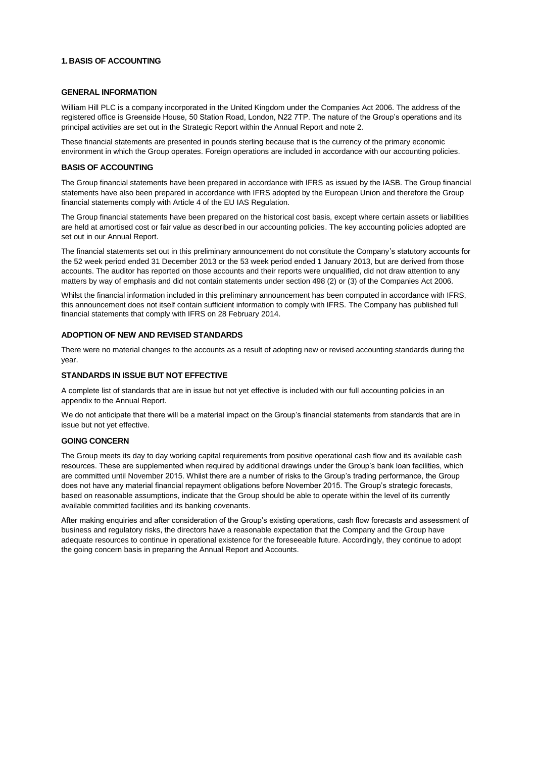#### **1.BASIS OF ACCOUNTING**

#### **GENERAL INFORMATION**

William Hill PLC is a company incorporated in the United Kingdom under the Companies Act 2006. The address of the registered office is Greenside House, 50 Station Road, London, N22 7TP. The nature of the Group's operations and its principal activities are set out in the Strategic Report within the Annual Report and note 2.

These financial statements are presented in pounds sterling because that is the currency of the primary economic environment in which the Group operates. Foreign operations are included in accordance with our accounting policies.

#### **BASIS OF ACCOUNTING**

The Group financial statements have been prepared in accordance with IFRS as issued by the IASB. The Group financial statements have also been prepared in accordance with IFRS adopted by the European Union and therefore the Group financial statements comply with Article 4 of the EU IAS Regulation.

The Group financial statements have been prepared on the historical cost basis, except where certain assets or liabilities are held at amortised cost or fair value as described in our accounting policies. The key accounting policies adopted are set out in our Annual Report.

The financial statements set out in this preliminary announcement do not constitute the Company's statutory accounts for the 52 week period ended 31 December 2013 or the 53 week period ended 1 January 2013, but are derived from those accounts. The auditor has reported on those accounts and their reports were unqualified, did not draw attention to any matters by way of emphasis and did not contain statements under section 498 (2) or (3) of the Companies Act 2006.

Whilst the financial information included in this preliminary announcement has been computed in accordance with IFRS, this announcement does not itself contain sufficient information to comply with IFRS. The Company has published full financial statements that comply with IFRS on 28 February 2014.

#### **ADOPTION OF NEW AND REVISED STANDARDS**

There were no material changes to the accounts as a result of adopting new or revised accounting standards during the year.

#### **STANDARDS IN ISSUE BUT NOT EFFECTIVE**

A complete list of standards that are in issue but not yet effective is included with our full accounting policies in an appendix to the Annual Report.

We do not anticipate that there will be a material impact on the Group's financial statements from standards that are in issue but not yet effective.

#### **GOING CONCERN**

The Group meets its day to day working capital requirements from positive operational cash flow and its available cash resources. These are supplemented when required by additional drawings under the Group's bank loan facilities, which are committed until November 2015. Whilst there are a number of risks to the Group's trading performance, the Group does not have any material financial repayment obligations before November 2015. The Group's strategic forecasts, based on reasonable assumptions, indicate that the Group should be able to operate within the level of its currently available committed facilities and its banking covenants.

After making enquiries and after consideration of the Group's existing operations, cash flow forecasts and assessment of business and regulatory risks, the directors have a reasonable expectation that the Company and the Group have adequate resources to continue in operational existence for the foreseeable future. Accordingly, they continue to adopt the going concern basis in preparing the Annual Report and Accounts.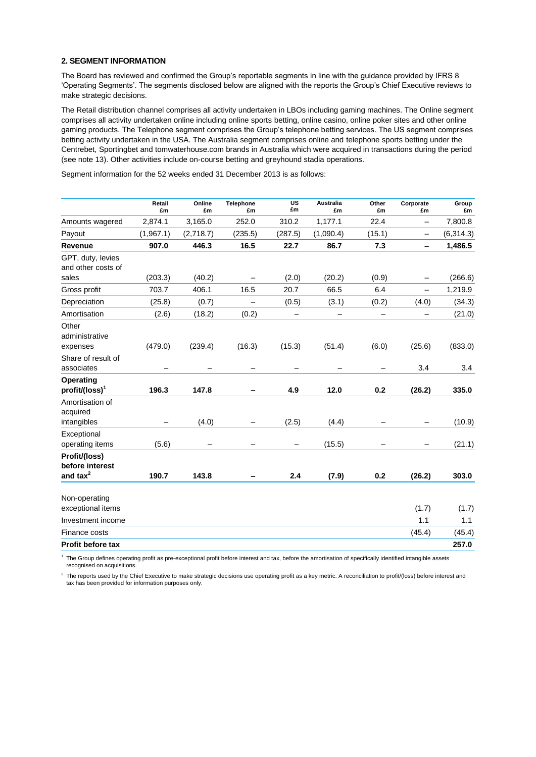#### **2. SEGMENT INFORMATION**

The Board has reviewed and confirmed the Group's reportable segments in line with the guidance provided by IFRS 8 'Operating Segments'. The segments disclosed below are aligned with the reports the Group's Chief Executive reviews to make strategic decisions.

The Retail distribution channel comprises all activity undertaken in LBOs including gaming machines. The Online segment comprises all activity undertaken online including online sports betting, online casino, online poker sites and other online gaming products. The Telephone segment comprises the Group's telephone betting services. The US segment comprises betting activity undertaken in the USA. The Australia segment comprises online and telephone sports betting under the Centrebet, Sportingbet and tomwaterhouse.com brands in Australia which were acquired in transactions during the period (see note 13). Other activities include on-course betting and greyhound stadia operations.

**£m**

**Group £m**

Segment information for the 52 weeks ended 31 December 2013 is as follows: **Retail £m Online £m Telephone £m US £m Australia £m Other £m Corporate**  Amounts wagered 2,874.1 3,165.0 252.0 310.2 1,177.1 22.4 – 7,800.8

| Payout                                     | (1,967.1) | (2,718.7) | (235.5)           | (287.5) | (1,090.4) | (15.1) | $\overline{\phantom{0}}$ | (6, 314.3) |
|--------------------------------------------|-----------|-----------|-------------------|---------|-----------|--------|--------------------------|------------|
| Revenue                                    | 907.0     | 446.3     | 16.5              | 22.7    | 86.7      | 7.3    |                          | 1,486.5    |
| GPT, duty, levies<br>and other costs of    |           |           |                   |         |           |        |                          |            |
| sales                                      | (203.3)   | (40.2)    | $\qquad \qquad -$ | (2.0)   | (20.2)    | (0.9)  |                          | (266.6)    |
| Gross profit                               | 703.7     | 406.1     | 16.5              | 20.7    | 66.5      | 6.4    | -                        | 1,219.9    |
| Depreciation                               | (25.8)    | (0.7)     |                   | (0.5)   | (3.1)     | (0.2)  | (4.0)                    | (34.3)     |
| Amortisation                               | (2.6)     | (18.2)    | (0.2)             | -       | —         | -      | -                        | (21.0)     |
| Other<br>administrative<br>expenses        | (479.0)   | (239.4)   | (16.3)            | (15.3)  | (51.4)    | (6.0)  | (25.6)                   | (833.0)    |
| Share of result of<br>associates           |           |           |                   |         |           |        | 3.4                      | 3.4        |
| Operating<br>profit/(loss) <sup>1</sup>    | 196.3     | 147.8     |                   | 4.9     | 12.0      | 0.2    | (26.2)                   | 335.0      |
| Amortisation of<br>acquired<br>intangibles |           | (4.0)     |                   | (2.5)   | (4.4)     |        |                          | (10.9)     |
| Exceptional                                |           |           |                   |         |           |        |                          |            |
| operating items                            | (5.6)     |           |                   |         | (15.5)    |        |                          | (21.1)     |
| Profit/(loss)<br>before interest           |           |           |                   |         |           |        |                          |            |
| and tax $2$                                | 190.7     | 143.8     |                   | 2.4     | (7.9)     | 0.2    | (26.2)                   | 303.0      |
| Non-operating<br>exceptional items         |           |           |                   |         |           |        | (1.7)                    | (1.7)      |
| Investment income                          |           |           |                   |         |           |        | 1.1                      | 1.1        |
| Finance costs                              |           |           |                   |         |           |        | (45.4)                   | (45.4)     |
| <b>Profit before tax</b>                   |           |           |                   |         |           |        |                          | 257.0      |

<sup>1</sup> The Group defines operating profit as pre-exceptional profit before interest and tax, before the amortisation of specifically identified intangible assets recognised on acquisitions.

 $^2$  The reports used by the Chief Executive to make strategic decisions use operating profit as a key metric. A reconciliation to profit/(loss) before interest and tax has been provided for information purposes only.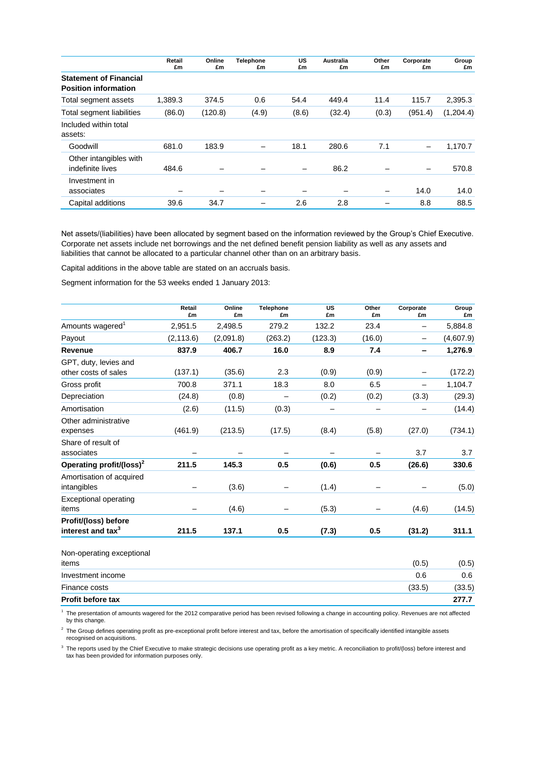|                                                              | Retail<br>£m | Online<br>£m | Telephone<br>£m | US<br>£m | Australia<br>£m | Other<br>£m | Corporate<br>£m          | Group<br>£m |
|--------------------------------------------------------------|--------------|--------------|-----------------|----------|-----------------|-------------|--------------------------|-------------|
| <b>Statement of Financial</b><br><b>Position information</b> |              |              |                 |          |                 |             |                          |             |
| Total segment assets                                         | 1.389.3      | 374.5        | 0.6             | 54.4     | 449.4           | 11.4        | 115.7                    | 2.395.3     |
| Total segment liabilities                                    | (86.0)       | (120.8)      | (4.9)           | (8.6)    | (32.4)          | (0.3)       | (951.4)                  | (1, 204.4)  |
| Included within total<br>assets:                             |              |              |                 |          |                 |             |                          |             |
| Goodwill                                                     | 681.0        | 183.9        |                 | 18.1     | 280.6           | 7.1         | $\overline{\phantom{m}}$ | 1,170.7     |
| Other intangibles with<br>indefinite lives                   | 484.6        |              |                 |          | 86.2            |             | $\overline{\phantom{m}}$ | 570.8       |
| Investment in<br>associates                                  |              |              |                 |          |                 |             | 14.0                     | 14.0        |
| Capital additions                                            | 39.6         | 34.7         |                 | 2.6      | 2.8             |             | 8.8                      | 88.5        |

Net assets/(liabilities) have been allocated by segment based on the information reviewed by the Group's Chief Executive. Corporate net assets include net borrowings and the net defined benefit pension liability as well as any assets and liabilities that cannot be allocated to a particular channel other than on an arbitrary basis.

Capital additions in the above table are stated on an accruals basis.

Segment information for the 53 weeks ended 1 January 2013:

|                                                                                                                                                       | Retail<br>£m | Online<br>£m | <b>Telephone</b><br>£m | US<br>£m | Other<br>£m | Corporate<br>£m | Group<br>£m |
|-------------------------------------------------------------------------------------------------------------------------------------------------------|--------------|--------------|------------------------|----------|-------------|-----------------|-------------|
| Amounts wagered <sup>1</sup>                                                                                                                          | 2,951.5      | 2,498.5      | 279.2                  | 132.2    | 23.4        | -               | 5,884.8     |
| Payout                                                                                                                                                | (2, 113.6)   | (2,091.8)    | (263.2)                | (123.3)  | (16.0)      |                 | (4,607.9)   |
| Revenue                                                                                                                                               | 837.9        | 406.7        | 16.0                   | 8.9      | 7.4         | -               | 1,276.9     |
| GPT, duty, levies and                                                                                                                                 |              |              |                        |          |             |                 |             |
| other costs of sales                                                                                                                                  | (137.1)      | (35.6)       | 2.3                    | (0.9)    | (0.9)       |                 | (172.2)     |
| Gross profit                                                                                                                                          | 700.8        | 371.1        | 18.3                   | 8.0      | 6.5         |                 | 1,104.7     |
| Depreciation                                                                                                                                          | (24.8)       | (0.8)        |                        | (0.2)    | (0.2)       | (3.3)           | (29.3)      |
| Amortisation                                                                                                                                          | (2.6)        | (11.5)       | (0.3)                  |          |             |                 | (14.4)      |
| Other administrative<br>expenses                                                                                                                      | (461.9)      | (213.5)      | (17.5)                 | (8.4)    | (5.8)       | (27.0)          | (734.1)     |
| Share of result of<br>associates                                                                                                                      |              |              |                        |          |             | 3.7             | 3.7         |
| Operating profit/(loss) <sup>2</sup>                                                                                                                  | 211.5        | 145.3        | 0.5                    | (0.6)    | 0.5         | (26.6)          | 330.6       |
| Amortisation of acquired<br>intangibles                                                                                                               |              | (3.6)        | -                      | (1.4)    |             |                 | (5.0)       |
| <b>Exceptional operating</b><br>items                                                                                                                 |              | (4.6)        |                        | (5.3)    |             | (4.6)           | (14.5)      |
| Profit/(loss) before<br>interest and tax <sup>3</sup>                                                                                                 | 211.5        | 137.1        | 0.5                    | (7.3)    | 0.5         | (31.2)          | 311.1       |
| Non-operating exceptional<br>items                                                                                                                    |              |              |                        |          |             | (0.5)           | (0.5)       |
| Investment income                                                                                                                                     |              |              |                        |          |             | 0.6             | 0.6         |
| Finance costs                                                                                                                                         |              |              |                        |          |             | (33.5)          | (33.5)      |
| Profit before tax                                                                                                                                     |              |              |                        |          |             |                 | 277.7       |
| $1$ The presentation of emergets weggered for the 2012 comparative period has been reviewed following a change in accounting policy. Devenues are not |              |              |                        |          |             |                 | $a$ ffootod |

The presentation of amounts wagered for the 2012 comparative period has been revised following a change in accounting policy. Revenues are not affected by this change.

 $2$  The Group defines operating profit as pre-exceptional profit before interest and tax, before the amortisation of specifically identified intangible assets recognised on acquisitions.

 $3$  The reports used by the Chief Executive to make strategic decisions use operating profit as a key metric. A reconciliation to profit/(loss) before interest and tax has been provided for information purposes only.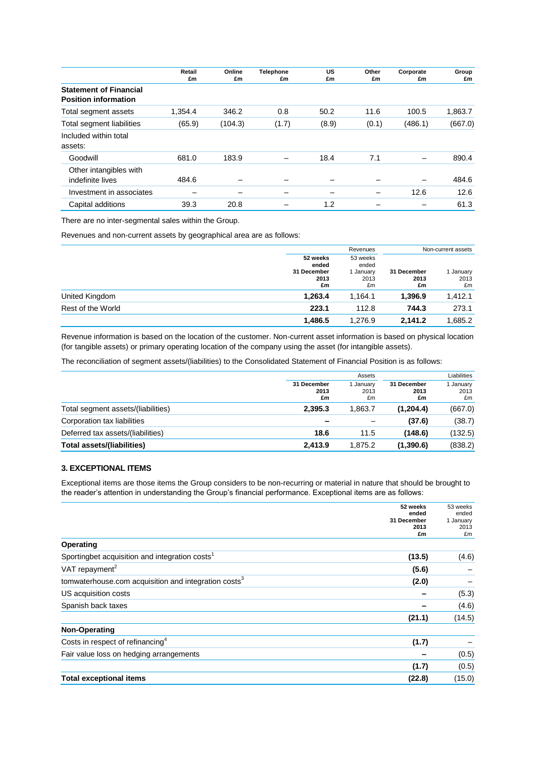|                                                              | Retail<br>£m | Online<br>£m | <b>Telephone</b><br>£m | US<br>£m | Other<br>£m | Corporate<br>£m          | Group<br>£m |
|--------------------------------------------------------------|--------------|--------------|------------------------|----------|-------------|--------------------------|-------------|
| <b>Statement of Financial</b><br><b>Position information</b> |              |              |                        |          |             |                          |             |
| Total segment assets                                         | 1.354.4      | 346.2        | 0.8                    | 50.2     | 11.6        | 100.5                    | 1,863.7     |
| Total segment liabilities                                    | (65.9)       | (104.3)      | (1.7)                  | (8.9)    | (0.1)       | (486.1)                  | (667.0)     |
| Included within total<br>assets:                             |              |              |                        |          |             |                          |             |
| Goodwill                                                     | 681.0        | 183.9        |                        | 18.4     | 7.1         | -                        | 890.4       |
| Other intangibles with<br>indefinite lives                   | 484.6        |              |                        |          |             | $\overline{\phantom{0}}$ | 484.6       |
| Investment in associates                                     |              |              |                        |          |             | 12.6                     | 12.6        |
| Capital additions                                            | 39.3         | 20.8         |                        | 1.2      |             |                          | 61.3        |

There are no inter-segmental sales within the Group.

Revenues and non-current assets by geographical area are as follows:

|                   |                                                | Revenues                                     | Non-current assets        |                       |
|-------------------|------------------------------------------------|----------------------------------------------|---------------------------|-----------------------|
|                   | 52 weeks<br>ended<br>31 December<br>2013<br>£m | 53 weeks<br>ended<br>I January<br>2013<br>£m | 31 December<br>2013<br>£m | January<br>2013<br>£m |
| United Kingdom    | 1,263.4                                        | 1.164.1                                      | 1,396.9                   | 1,412.1               |
| Rest of the World | 223.1                                          | 112.8                                        | 744.3                     | 273.1                 |
|                   | 1,486.5                                        | 1.276.9                                      | 2.141.2                   | 1,685.2               |

Revenue information is based on the location of the customer. Non-current asset information is based on physical location (for tangible assets) or primary operating location of the company using the asset (for intangible assets).

The reconciliation of segment assets/(liabilities) to the Consolidated Statement of Financial Position is as follows:

|                                    | Assets                    |                       |                           | Liabilities             |
|------------------------------------|---------------------------|-----------------------|---------------------------|-------------------------|
|                                    | 31 December<br>2013<br>£m | Januarv<br>2013<br>£m | 31 December<br>2013<br>£m | I January<br>2013<br>£m |
| Total segment assets/(liabilities) | 2.395.3                   | 1.863.7               | (1,204.4)                 | (667.0)                 |
| Corporation tax liabilities        | -                         |                       | (37.6)                    | (38.7)                  |
| Deferred tax assets/(liabilities)  | 18.6                      | 11.5                  | (148.6)                   | (132.5)                 |
| <b>Total assets/(liabilities)</b>  | 2.413.9                   | 1.875.2               | (1,390.6)                 | (838.2)                 |

### **3. EXCEPTIONAL ITEMS**

Exceptional items are those items the Group considers to be non-recurring or material in nature that should be brought to the reader's attention in understanding the Group's financial performance. Exceptional items are as follows:

| 52 weeks                                                         |        | 53 weeks           |
|------------------------------------------------------------------|--------|--------------------|
| 31 December                                                      | ended  | ended<br>1 January |
|                                                                  | 2013   | 2013               |
|                                                                  | £m     | £m                 |
| Operating                                                        |        |                    |
| Sportingbet acquisition and integration costs <sup>1</sup>       | (13.5) | (4.6)              |
| VAT repayment <sup>2</sup>                                       | (5.6)  |                    |
| tomwaterhouse.com acquisition and integration costs <sup>3</sup> | (2.0)  |                    |
| US acquisition costs                                             |        | (5.3)              |
| Spanish back taxes                                               |        | (4.6)              |
|                                                                  | (21.1) | (14.5)             |
| Non-Operating                                                    |        |                    |
| Costs in respect of refinancing <sup>4</sup>                     | (1.7)  |                    |
| Fair value loss on hedging arrangements                          |        | (0.5)              |
|                                                                  | (1.7)  | (0.5)              |
| <b>Total exceptional items</b>                                   | (22.8) | (15.0)             |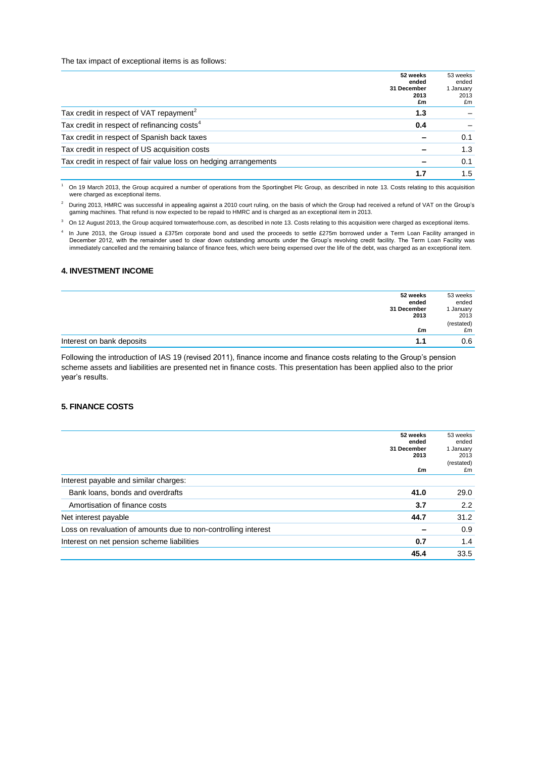The tax impact of exceptional items is as follows:

|                                                                  | 52 weeks<br>ended<br>31 December<br>2013<br>£m | 53 weeks<br>ended<br>1 January<br>2013<br>£m |
|------------------------------------------------------------------|------------------------------------------------|----------------------------------------------|
| Tax credit in respect of VAT repayment <sup>2</sup>              | 1.3                                            |                                              |
| Tax credit in respect of refinancing costs <sup>4</sup>          | 0.4                                            |                                              |
| Tax credit in respect of Spanish back taxes                      |                                                | 0.1                                          |
| Tax credit in respect of US acquisition costs                    |                                                | 1.3                                          |
| Tax credit in respect of fair value loss on hedging arrangements |                                                | 0.1                                          |
|                                                                  | 1.7                                            | 1.5                                          |

<sup>1</sup> On 19 March 2013, the Group acquired a number of operations from the Sportingbet Plc Group, as described in note 13. Costs relating to this acquisition were charged as exceptional items.

<sup>2</sup> During 2013, HMRC was successful in appealing against a 2010 court ruling, on the basis of which the Group had received a refund of VAT on the Group's gaming machines. That refund is now expected to be repaid to HMRC and is charged as an exceptional item in 2013.

 $3$  On 12 August 2013, the Group acquired tomwaterhouse.com, as described in note 13. Costs relating to this acquisition were charged as exceptional items.

4 In June 2013, the Group issued a £375m corporate bond and used the proceeds to settle £275m borrowed under a Term Loan Facility arranged in December 2012, with the remainder used to clear down outstanding amounts under the Group's revolving credit facility. The Term Loan Facility was immediately cancelled and the remaining balance of finance fees, which were being expensed over the life of the debt, was charged as an exceptional item.

### **4. INVESTMENT INCOME**

| 52 weeks                         | 53 weeks   |
|----------------------------------|------------|
| ended                            | ended      |
| 31 December                      | January    |
| 2013                             | 2013       |
|                                  | (restated) |
| £m                               | £m         |
| Interest on bank deposits<br>1.1 | 0.6        |

Following the introduction of IAS 19 (revised 2011), finance income and finance costs relating to the Group's pension scheme assets and liabilities are presented net in finance costs. This presentation has been applied also to the prior year's results.

#### **5. FINANCE COSTS**

| 52 weeks<br>ended<br>31 December<br>2013<br>£m                 | 53 weeks<br>ended<br>1 January<br>2013<br>(restated)<br>£m |
|----------------------------------------------------------------|------------------------------------------------------------|
| Interest payable and similar charges:                          |                                                            |
| Bank loans, bonds and overdrafts<br>41.0                       | 29.0                                                       |
| Amortisation of finance costs<br>3.7                           | 2.2                                                        |
| Net interest payable<br>44.7                                   | 31.2                                                       |
| Loss on revaluation of amounts due to non-controlling interest | 0.9                                                        |
| Interest on net pension scheme liabilities<br>0.7              | 1.4                                                        |
| 45.4                                                           | 33.5                                                       |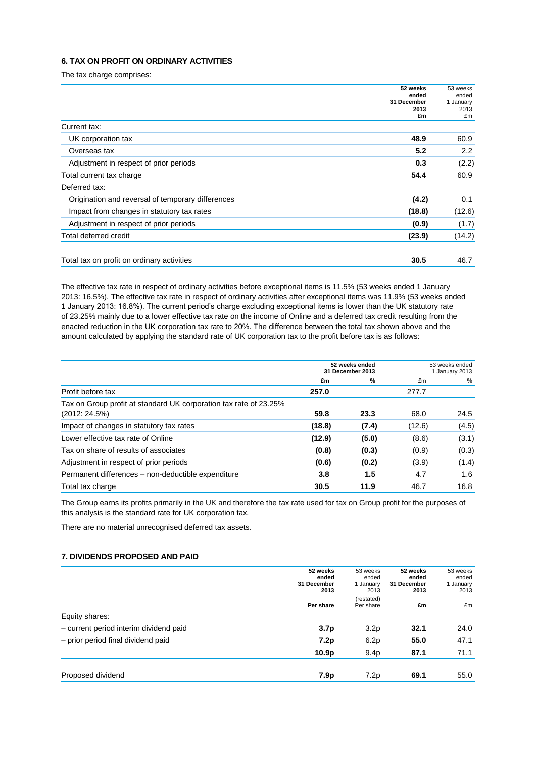### **6. TAX ON PROFIT ON ORDINARY ACTIVITIES**

The tax charge comprises:

|                                                   | 52 weeks    | 53 weeks  |
|---------------------------------------------------|-------------|-----------|
|                                                   | ended       | ended     |
|                                                   | 31 December | 1 January |
|                                                   | 2013        | 2013      |
|                                                   | £m          | £m        |
| Current tax:                                      |             |           |
| UK corporation tax                                | 48.9        | 60.9      |
| Overseas tax                                      | 5.2         | 2.2       |
| Adjustment in respect of prior periods            | 0.3         | (2.2)     |
| Total current tax charge                          | 54.4        | 60.9      |
| Deferred tax:                                     |             |           |
| Origination and reversal of temporary differences | (4.2)       | 0.1       |
| Impact from changes in statutory tax rates        | (18.8)      | (12.6)    |
| Adjustment in respect of prior periods            | (0.9)       | (1.7)     |
| Total deferred credit                             | (23.9)      | (14.2)    |
|                                                   |             |           |
| Total tax on profit on ordinary activities        | 30.5        | 46.7      |

The effective tax rate in respect of ordinary activities before exceptional items is 11.5% (53 weeks ended 1 January 2013: 16.5%). The effective tax rate in respect of ordinary activities after exceptional items was 11.9% (53 weeks ended 1 January 2013: 16.8%). The current period's charge excluding exceptional items is lower than the UK statutory rate of 23.25% mainly due to a lower effective tax rate on the income of Online and a deferred tax credit resulting from the enacted reduction in the UK corporation tax rate to 20%. The difference between the total tax shown above and the amount calculated by applying the standard rate of UK corporation tax to the profit before tax is as follows:

|                                                                                    | 52 weeks ended<br>31 December 2013 |       | 53 weeks ended<br>1 January 2013 |       |
|------------------------------------------------------------------------------------|------------------------------------|-------|----------------------------------|-------|
|                                                                                    | £m                                 | %     | £m                               | %     |
| Profit before tax                                                                  | 257.0                              |       | 277.7                            |       |
| Tax on Group profit at standard UK corporation tax rate of 23.25%<br>(2012: 24.5%) | 59.8                               | 23.3  | 68.0                             | 24.5  |
| Impact of changes in statutory tax rates                                           | (18.8)                             | (7.4) | (12.6)                           | (4.5) |
| Lower effective tax rate of Online                                                 | (12.9)                             | (5.0) | (8.6)                            | (3.1) |
| Tax on share of results of associates                                              | (0.8)                              | (0.3) | (0.9)                            | (0.3) |
| Adjustment in respect of prior periods                                             | (0.6)                              | (0.2) | (3.9)                            | (1.4) |
| Permanent differences - non-deductible expenditure                                 | 3.8                                | 1.5   | 4.7                              | 1.6   |
| Total tax charge                                                                   | 30.5                               | 11.9  | 46.7                             | 16.8  |

The Group earns its profits primarily in the UK and therefore the tax rate used for tax on Group profit for the purposes of this analysis is the standard rate for UK corporation tax.

There are no material unrecognised deferred tax assets.

# **7. DIVIDENDS PROPOSED AND PAID**

|                                        | 52 weeks<br>ended<br>31 December<br>2013 | 53 weeks<br>ended<br>1 January<br>2013 | 52 weeks<br>ended<br>31 December<br>2013 | 53 weeks<br>ended<br>1 January<br>2013 |
|----------------------------------------|------------------------------------------|----------------------------------------|------------------------------------------|----------------------------------------|
|                                        | Per share                                | (restated)<br>Per share                | £m                                       | £m                                     |
| Equity shares:                         |                                          |                                        |                                          |                                        |
| - current period interim dividend paid | 3.7 <sub>p</sub>                         | 3.2 <sub>p</sub>                       | 32.1                                     | 24.0                                   |
| - prior period final dividend paid     | 7.2p                                     | 6.2p                                   | 55.0                                     | 47.1                                   |
|                                        | 10.9 <sub>p</sub>                        | 9.4 <sub>p</sub>                       | 87.1                                     | 71.1                                   |
| Proposed dividend                      | 7.9 <sub>p</sub>                         | 7.2p                                   | 69.1                                     | 55.0                                   |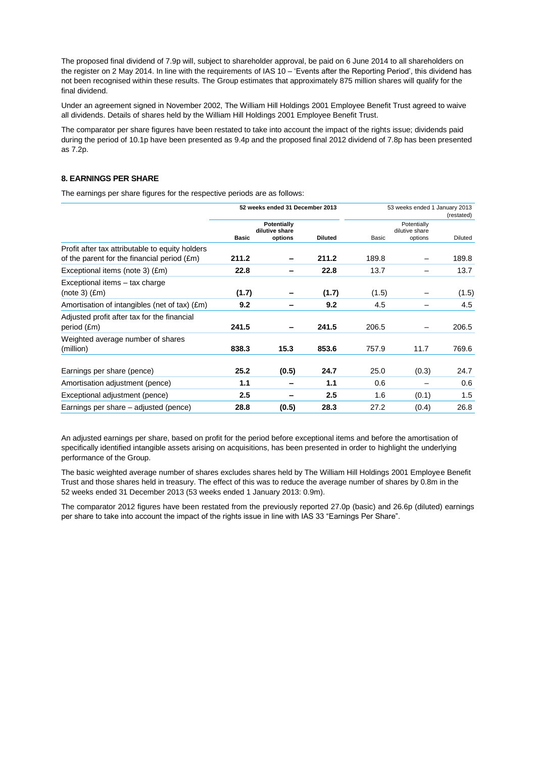The proposed final dividend of 7.9p will, subject to shareholder approval, be paid on 6 June 2014 to all shareholders on the register on 2 May 2014. In line with the requirements of IAS 10 – 'Events after the Reporting Period', this dividend has not been recognised within these results. The Group estimates that approximately 875 million shares will qualify for the final dividend.

Under an agreement signed in November 2002, The William Hill Holdings 2001 Employee Benefit Trust agreed to waive all dividends. Details of shares held by the William Hill Holdings 2001 Employee Benefit Trust.

The comparator per share figures have been restated to take into account the impact of the rights issue; dividends paid during the period of 10.1p have been presented as 9.4p and the proposed final 2012 dividend of 7.8p has been presented as 7.2p.

#### **8. EARNINGS PER SHARE**

The earnings per share figures for the respective periods are as follows:

|                                                                                                         | 52 weeks ended 31 December 2013 |                                          |                | 53 weeks ended 1 January 2013 | (restated)                               |         |
|---------------------------------------------------------------------------------------------------------|---------------------------------|------------------------------------------|----------------|-------------------------------|------------------------------------------|---------|
|                                                                                                         | <b>Basic</b>                    | Potentially<br>dilutive share<br>options | <b>Diluted</b> | Basic                         | Potentially<br>dilutive share<br>options | Diluted |
| Profit after tax attributable to equity holders<br>of the parent for the financial period $(\text{Em})$ | 211.2                           |                                          | 211.2          | 189.8                         |                                          | 189.8   |
| Exceptional items (note 3) (£m)                                                                         | 22.8                            |                                          | 22.8           | 13.7                          |                                          | 13.7    |
| Exceptional items - tax charge<br>(note 3) (Em)                                                         | (1.7)                           |                                          | (1.7)          | (1.5)                         |                                          | (1.5)   |
| Amortisation of intangibles (net of tax) (£m)                                                           | 9.2                             |                                          | 9.2            | 4.5                           |                                          | 4.5     |
| Adjusted profit after tax for the financial<br>period (£m)                                              | 241.5                           |                                          | 241.5          | 206.5                         |                                          | 206.5   |
| Weighted average number of shares<br>(million)                                                          | 838.3                           | 15.3                                     | 853.6          | 757.9                         | 11.7                                     | 769.6   |
| Earnings per share (pence)                                                                              | 25.2                            | (0.5)                                    | 24.7           | 25.0                          | (0.3)                                    | 24.7    |
| Amortisation adjustment (pence)                                                                         | 1.1                             |                                          | 1.1            | 0.6                           |                                          | 0.6     |
| Exceptional adjustment (pence)                                                                          | 2.5                             |                                          | 2.5            | 1.6                           | (0.1)                                    | 1.5     |
| Earnings per share – adjusted (pence)                                                                   | 28.8                            | (0.5)                                    | 28.3           | 27.2                          | (0.4)                                    | 26.8    |

An adjusted earnings per share, based on profit for the period before exceptional items and before the amortisation of specifically identified intangible assets arising on acquisitions, has been presented in order to highlight the underlying performance of the Group.

The basic weighted average number of shares excludes shares held by The William Hill Holdings 2001 Employee Benefit Trust and those shares held in treasury. The effect of this was to reduce the average number of shares by 0.8m in the 52 weeks ended 31 December 2013 (53 weeks ended 1 January 2013: 0.9m).

The comparator 2012 figures have been restated from the previously reported 27.0p (basic) and 26.6p (diluted) earnings per share to take into account the impact of the rights issue in line with IAS 33 "Earnings Per Share".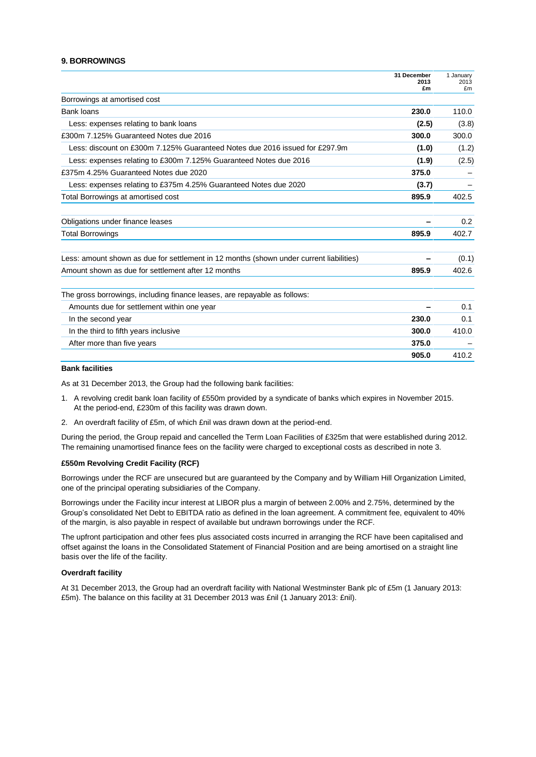#### **9. BORROWINGS**

|                                                                                         | 31 December<br>2013 | 1 January<br>2013 |
|-----------------------------------------------------------------------------------------|---------------------|-------------------|
|                                                                                         | £m                  | £m                |
| Borrowings at amortised cost                                                            |                     |                   |
| Bank loans                                                                              | 230.0               | 110.0             |
| Less: expenses relating to bank loans                                                   | (2.5)               | (3.8)             |
| £300m 7.125% Guaranteed Notes due 2016                                                  | 300.0               | 300.0             |
| Less: discount on £300m 7.125% Guaranteed Notes due 2016 issued for £297.9m             | (1.0)               | (1.2)             |
| Less: expenses relating to £300m 7.125% Guaranteed Notes due 2016                       | (1.9)               | (2.5)             |
| £375m 4.25% Guaranteed Notes due 2020                                                   | 375.0               |                   |
| Less: expenses relating to £375m 4.25% Guaranteed Notes due 2020                        | (3.7)               |                   |
| Total Borrowings at amortised cost                                                      | 895.9               | 402.5             |
| Obligations under finance leases                                                        |                     | $0.2^{\circ}$     |
| <b>Total Borrowings</b>                                                                 | 895.9               | 402.7             |
| Less: amount shown as due for settlement in 12 months (shown under current liabilities) |                     | (0.1)             |
| Amount shown as due for settlement after 12 months                                      | 895.9               | 402.6             |
| The gross borrowings, including finance leases, are repayable as follows:               |                     |                   |
| Amounts due for settlement within one year                                              |                     | 0.1               |
| In the second year                                                                      | 230.0               | 0.1               |
| In the third to fifth years inclusive                                                   | 300.0               | 410.0             |
| After more than five years                                                              | 375.0               |                   |
|                                                                                         | 905.0               | 410.2             |

#### **Bank facilities**

As at 31 December 2013, the Group had the following bank facilities:

- 1. A revolving credit bank loan facility of £550m provided by a syndicate of banks which expires in November 2015. At the period-end, £230m of this facility was drawn down.
- 2. An overdraft facility of £5m, of which £nil was drawn down at the period-end.

During the period, the Group repaid and cancelled the Term Loan Facilities of £325m that were established during 2012. The remaining unamortised finance fees on the facility were charged to exceptional costs as described in note 3.

#### **£550m Revolving Credit Facility (RCF)**

Borrowings under the RCF are unsecured but are guaranteed by the Company and by William Hill Organization Limited, one of the principal operating subsidiaries of the Company.

Borrowings under the Facility incur interest at LIBOR plus a margin of between 2.00% and 2.75%, determined by the Group's consolidated Net Debt to EBITDA ratio as defined in the loan agreement. A commitment fee, equivalent to 40% of the margin, is also payable in respect of available but undrawn borrowings under the RCF.

The upfront participation and other fees plus associated costs incurred in arranging the RCF have been capitalised and offset against the loans in the Consolidated Statement of Financial Position and are being amortised on a straight line basis over the life of the facility.

#### **Overdraft facility**

At 31 December 2013, the Group had an overdraft facility with National Westminster Bank plc of £5m (1 January 2013: £5m). The balance on this facility at 31 December 2013 was £nil (1 January 2013: £nil).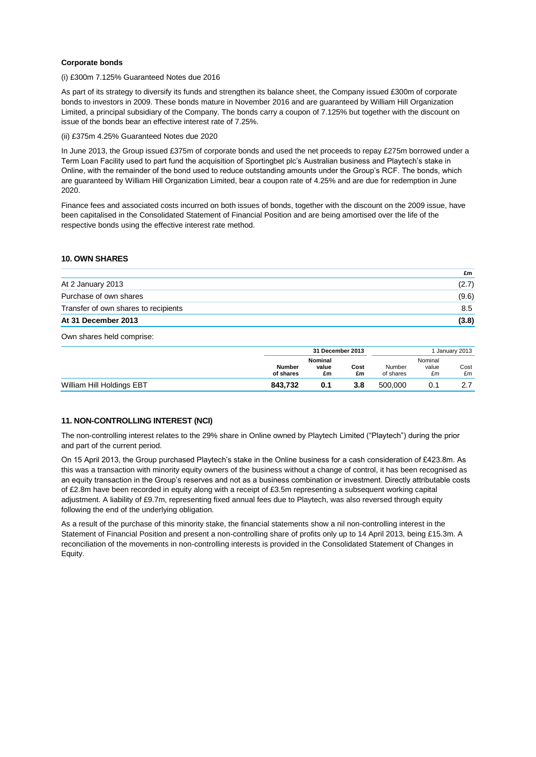#### **Corporate bonds**

#### (i) £300m 7.125% Guaranteed Notes due 2016

As part of its strategy to diversify its funds and strengthen its balance sheet, the Company issued £300m of corporate bonds to investors in 2009. These bonds mature in November 2016 and are guaranteed by William Hill Organization Limited, a principal subsidiary of the Company. The bonds carry a coupon of 7.125% but together with the discount on issue of the bonds bear an effective interest rate of 7.25%.

#### (ii) £375m 4.25% Guaranteed Notes due 2020

In June 2013, the Group issued £375m of corporate bonds and used the net proceeds to repay £275m borrowed under a Term Loan Facility used to part fund the acquisition of Sportingbet plc's Australian business and Playtech's stake in Online, with the remainder of the bond used to reduce outstanding amounts under the Group's RCF. The bonds, which are guaranteed by William Hill Organization Limited, bear a coupon rate of 4.25% and are due for redemption in June 2020.

Finance fees and associated costs incurred on both issues of bonds, together with the discount on the 2009 issue, have been capitalised in the Consolidated Statement of Financial Position and are being amortised over the life of the respective bonds using the effective interest rate method.

### **10. OWN SHARES**

|                                      | £m    |
|--------------------------------------|-------|
| At 2 January 2013                    | (2.7) |
| Purchase of own shares               | (9.6) |
| Transfer of own shares to recipients | 8.5   |
| At 31 December 2013                  | (3.8) |

Own shares held comprise:

|                           |                            | 31 December 2013              |            |                     |                        | January 2013 |
|---------------------------|----------------------------|-------------------------------|------------|---------------------|------------------------|--------------|
|                           | <b>Number</b><br>of shares | <b>Nominal</b><br>value<br>£m | Cost<br>£m | Number<br>of shares | Nominal<br>value<br>£m | Cost<br>£m   |
| William Hill Holdings EBT | 843.732                    | 0.1                           | 3.8        | 500.000             |                        |              |

#### **11. NON-CONTROLLING INTEREST (NCI)**

The non-controlling interest relates to the 29% share in Online owned by Playtech Limited ("Playtech") during the prior and part of the current period.

On 15 April 2013, the Group purchased Playtech's stake in the Online business for a cash consideration of £423.8m. As this was a transaction with minority equity owners of the business without a change of control, it has been recognised as an equity transaction in the Group's reserves and not as a business combination or investment. Directly attributable costs of £2.8m have been recorded in equity along with a receipt of £3.5m representing a subsequent working capital adjustment. A liability of £9.7m, representing fixed annual fees due to Playtech, was also reversed through equity following the end of the underlying obligation.

As a result of the purchase of this minority stake, the financial statements show a nil non-controlling interest in the Statement of Financial Position and present a non-controlling share of profits only up to 14 April 2013, being £15.3m. A reconciliation of the movements in non-controlling interests is provided in the Consolidated Statement of Changes in Equity.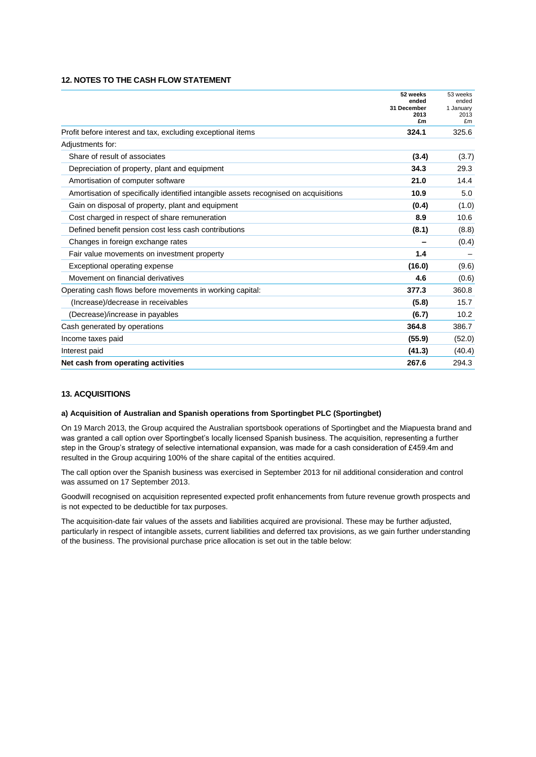# **12. NOTES TO THE CASH FLOW STATEMENT**

|                                                                                      | 52 weeks<br>ended<br>31 December<br>2013<br>£m | 53 weeks<br>ended<br>1 January<br>2013<br>£m |
|--------------------------------------------------------------------------------------|------------------------------------------------|----------------------------------------------|
| Profit before interest and tax, excluding exceptional items                          | 324.1                                          | 325.6                                        |
| Adjustments for:                                                                     |                                                |                                              |
| Share of result of associates                                                        | (3.4)                                          | (3.7)                                        |
| Depreciation of property, plant and equipment                                        | 34.3                                           | 29.3                                         |
| Amortisation of computer software                                                    | 21.0                                           | 14.4                                         |
| Amortisation of specifically identified intangible assets recognised on acquisitions | 10.9                                           | 5.0                                          |
| Gain on disposal of property, plant and equipment                                    | (0.4)                                          | (1.0)                                        |
| Cost charged in respect of share remuneration                                        | 8.9                                            | 10.6                                         |
| Defined benefit pension cost less cash contributions                                 | (8.1)                                          | (8.8)                                        |
| Changes in foreign exchange rates                                                    |                                                | (0.4)                                        |
| Fair value movements on investment property                                          | 1.4                                            |                                              |
| Exceptional operating expense                                                        | (16.0)                                         | (9.6)                                        |
| Movement on financial derivatives                                                    | 4.6                                            | (0.6)                                        |
| Operating cash flows before movements in working capital:                            | 377.3                                          | 360.8                                        |
| (Increase)/decrease in receivables                                                   | (5.8)                                          | 15.7                                         |
| (Decrease)/increase in payables                                                      | (6.7)                                          | 10.2                                         |
| Cash generated by operations                                                         | 364.8                                          | 386.7                                        |
| Income taxes paid                                                                    | (55.9)                                         | (52.0)                                       |
| Interest paid                                                                        | (41.3)                                         | (40.4)                                       |
| Net cash from operating activities                                                   | 267.6                                          | 294.3                                        |

#### **13. ACQUISITIONS**

#### **a) Acquisition of Australian and Spanish operations from Sportingbet PLC (Sportingbet)**

On 19 March 2013, the Group acquired the Australian sportsbook operations of Sportingbet and the Miapuesta brand and was granted a call option over Sportingbet's locally licensed Spanish business. The acquisition, representing a further step in the Group's strategy of selective international expansion, was made for a cash consideration of £459.4m and resulted in the Group acquiring 100% of the share capital of the entities acquired.

The call option over the Spanish business was exercised in September 2013 for nil additional consideration and control was assumed on 17 September 2013.

Goodwill recognised on acquisition represented expected profit enhancements from future revenue growth prospects and is not expected to be deductible for tax purposes.

The acquisition-date fair values of the assets and liabilities acquired are provisional. These may be further adjusted, particularly in respect of intangible assets, current liabilities and deferred tax provisions, as we gain further understanding of the business. The provisional purchase price allocation is set out in the table below: